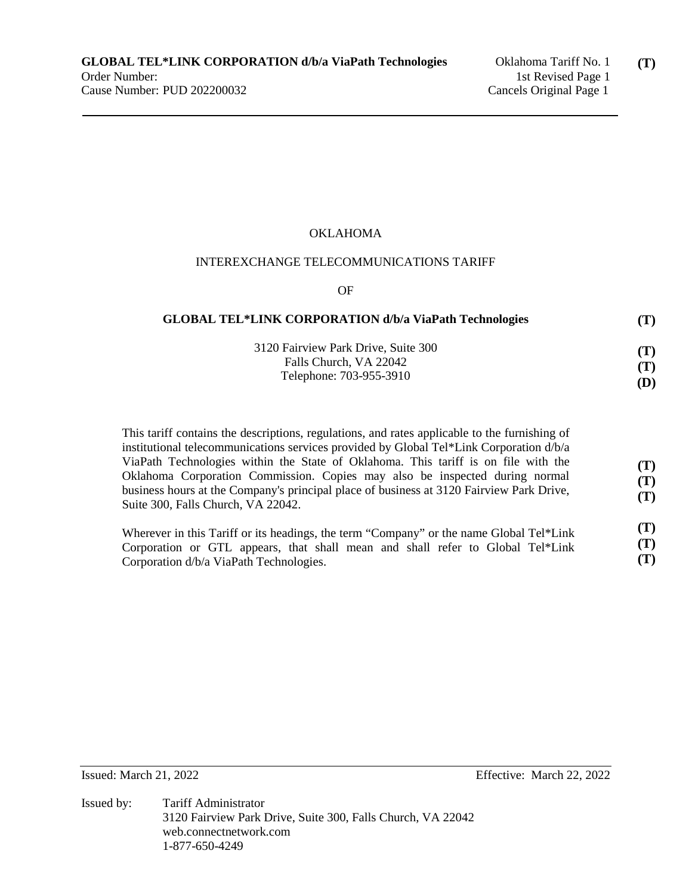## OKLAHOMA

#### INTEREXCHANGE TELECOMMUNICATIONS TARIFF

OF

| <b>GLOBAL TEL*LINK CORPORATION d/b/a ViaPath Technologies</b> | (T) |
|---------------------------------------------------------------|-----|
| 3120 Fairview Park Drive, Suite 300                           | (T) |
| Falls Church, VA 22042                                        | (T) |
| Telephone: 703-955-3910                                       | (D) |

This tariff contains the descriptions, regulations, and rates applicable to the furnishing of institutional telecommunications services provided by Global Tel\*Link Corporation d/b/a ViaPath Technologies within the State of Oklahoma. This tariff is on file with the Oklahoma Corporation Commission. Copies may also be inspected during normal business hours at the Company's principal place of business at 3120 Fairview Park Drive, Suite 300, Falls Church, VA 22042. **(T) (T) (T)** 

| Wherever in this Tariff or its headings, the term "Company" or the name Global Tel*Link | (T) |
|-----------------------------------------------------------------------------------------|-----|
| Corporation or GTL appears, that shall mean and shall refer to Global Tel*Link          | (T) |
| Corporation d/b/a ViaPath Technologies.                                                 | (T) |

Issued: March 21, 2022 Effective: March 22, 2022

Issued by: Tariff Administrator 3120 Fairview Park Drive, Suite 300, Falls Church, VA 22042 web.connectnetwork.com 1-877-650-4249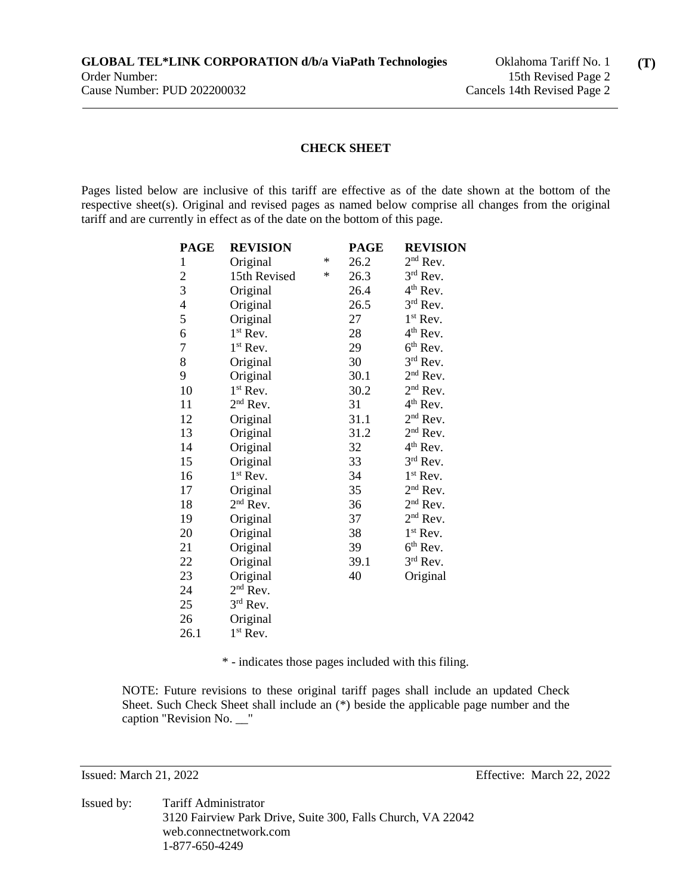#### **CHECK SHEET**

Pages listed below are inclusive of this tariff are effective as of the date shown at the bottom of the respective sheet(s). Original and revised pages as named below comprise all changes from the original tariff and are currently in effect as of the date on the bottom of this page.

| <b>PAGE</b>    | <b>REVISION</b>      |   | <b>PAGE</b> | <b>REVISION</b>      |
|----------------|----------------------|---|-------------|----------------------|
| $\mathbf{1}$   | Original             | ∗ | 26.2        | $2nd$ Rev.           |
| $\overline{c}$ | 15th Revised         | ∗ | 26.3        | $3rd$ Rev.           |
| 3              | Original             |   | 26.4        | $4th$ Rev.           |
| $\overline{4}$ | Original             |   | 26.5        | $3rd$ Rev.           |
| 5              | Original             |   | 27          | $1st$ Rev.           |
| 6              | $1^{\rm st}$ Rev.    |   | 28          | 4 <sup>th</sup> Rev. |
| 7              | $1st$ Rev.           |   | 29          | $6th$ Rev.           |
| 8              | Original             |   | 30          | $3rd$ Rev.           |
| 9              | Original             |   | 30.1        | $2nd$ Rev.           |
| 10             | $1st$ Rev.           |   | 30.2        | $2nd$ Rev.           |
| 11             | $2nd$ Rev.           |   | 31          | $4th$ Rev.           |
| 12             | Original             |   | 31.1        | $2nd$ Rev.           |
| 13             | Original             |   | 31.2        | $2nd$ Rev.           |
| 14             | Original             |   | 32          | $4th$ Rev.           |
| 15             | Original             |   | 33          | $3^{\rm rd}$ Rev.    |
| 16             | $1^{\rm st}$ Rev.    |   | 34          | $1^{\rm st}$ Rev.    |
| 17             | Original             |   | 35          | $2nd$ Rev.           |
| 18             | $2nd$ Rev.           |   | 36          | $2nd$ Rev.           |
| 19             | Original             |   | 37          | $2nd$ Rev.           |
| 20             | Original             |   | 38          | $1st$ Rev.           |
| 21             | Original             |   | 39          | $6th$ Rev.           |
| 22             | Original             |   | 39.1        | $3rd$ Rev.           |
| 23             | Original             |   | 40          | Original             |
| 24             | 2 <sup>nd</sup> Rev. |   |             |                      |
| 25             | 3rd Rev.             |   |             |                      |
| 26             | Original             |   |             |                      |
| 26.1           | $1st$ Rev.           |   |             |                      |

\* - indicates those pages included with this filing.

NOTE: Future revisions to these original tariff pages shall include an updated Check Sheet. Such Check Sheet shall include an (\*) beside the applicable page number and the caption "Revision No. \_\_"

Issued: March 21, 2022 Effective: March 22, 2022

Issued by: Tariff Administrator 3120 Fairview Park Drive, Suite 300, Falls Church, VA 22042 web.connectnetwork.com 1-877-650-4249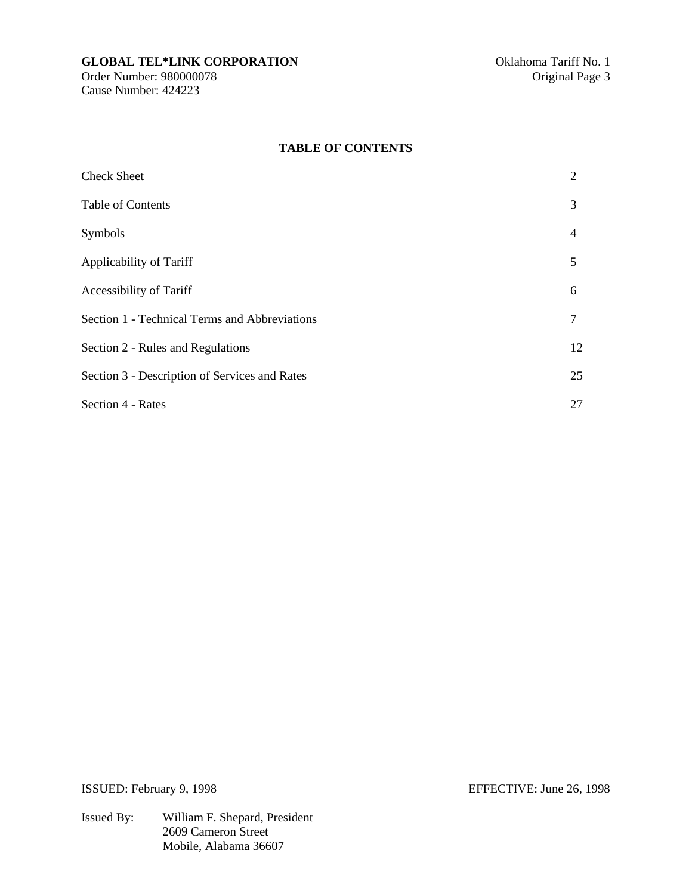#### **TABLE OF CONTENTS**

| <b>Check Sheet</b>                            | 2  |
|-----------------------------------------------|----|
| <b>Table of Contents</b>                      | 3  |
| Symbols                                       | 4  |
| Applicability of Tariff                       | 5  |
| <b>Accessibility of Tariff</b>                | 6  |
| Section 1 - Technical Terms and Abbreviations | 7  |
| Section 2 - Rules and Regulations             | 12 |
| Section 3 - Description of Services and Rates | 25 |
| <b>Section 4 - Rates</b>                      | 27 |

ISSUED: February 9, 1998 EFFECTIVE: June 26, 1998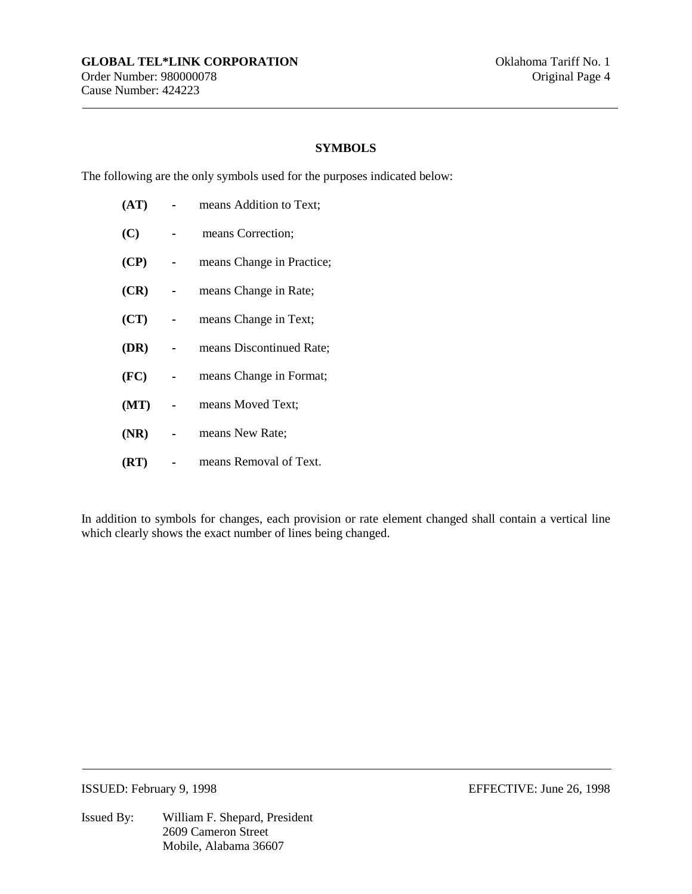## **SYMBOLS**

The following are the only symbols used for the purposes indicated below:

| (AT) | means Addition to Text;   |
|------|---------------------------|
| (C)  | means Correction;         |
| (CP) | means Change in Practice; |
| (CR) | means Change in Rate;     |
| (CT) | means Change in Text;     |
| (DR) | means Discontinued Rate;  |
| (FC) | means Change in Format;   |
| (MT) | means Moved Text;         |
| (NR) | means New Rate;           |
| (RT) | means Removal of Text.    |

In addition to symbols for changes, each provision or rate element changed shall contain a vertical line which clearly shows the exact number of lines being changed.

ISSUED: February 9, 1998 EFFECTIVE: June 26, 1998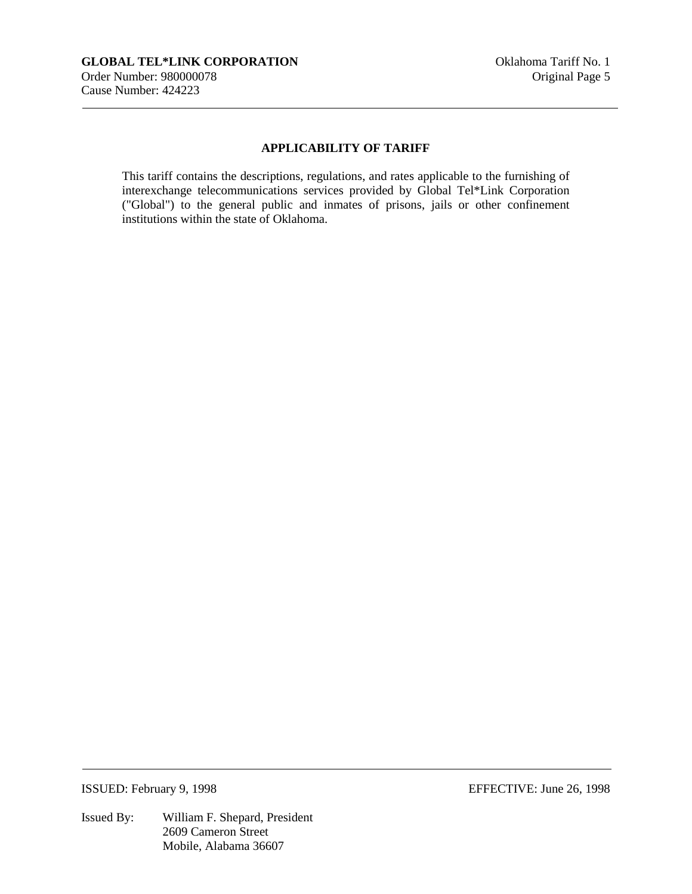## **APPLICABILITY OF TARIFF**

This tariff contains the descriptions, regulations, and rates applicable to the furnishing of interexchange telecommunications services provided by Global Tel\*Link Corporation ("Global") to the general public and inmates of prisons, jails or other confinement institutions within the state of Oklahoma.

ISSUED: February 9, 1998 EFFECTIVE: June 26, 1998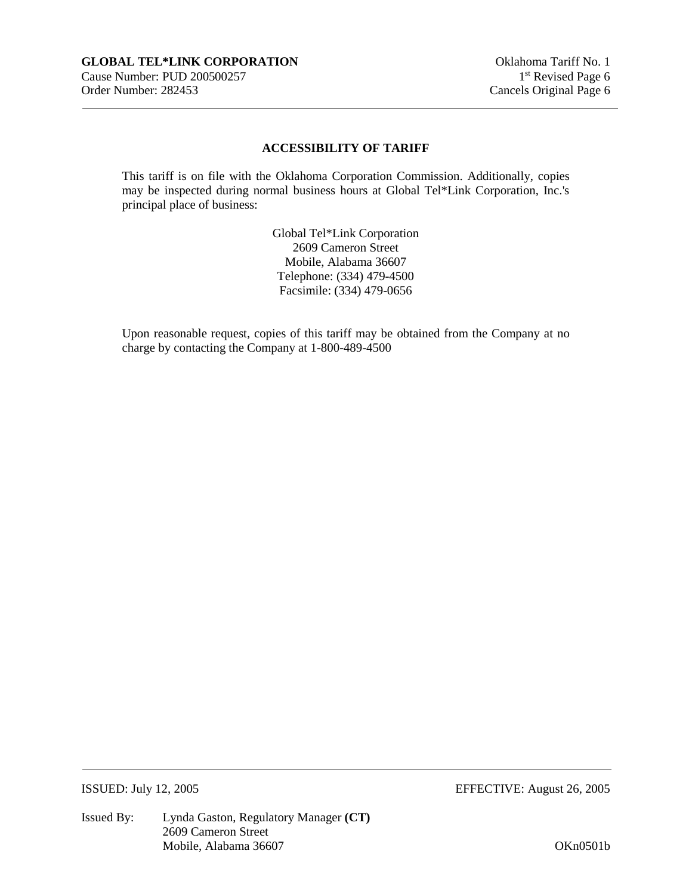## **ACCESSIBILITY OF TARIFF**

This tariff is on file with the Oklahoma Corporation Commission. Additionally, copies may be inspected during normal business hours at Global Tel\*Link Corporation, Inc.'s principal place of business:

> Global Tel\*Link Corporation 2609 Cameron Street Mobile, Alabama 36607 Telephone: (334) 479-4500 Facsimile: (334) 479-0656

Upon reasonable request, copies of this tariff may be obtained from the Company at no charge by contacting the Company at 1-800-489-4500

ISSUED: July 12, 2005 EFFECTIVE: August 26, 2005

Issued By: Lynda Gaston, Regulatory Manager **(CT)** 2609 Cameron Street Mobile, Alabama 36607 OKn0501b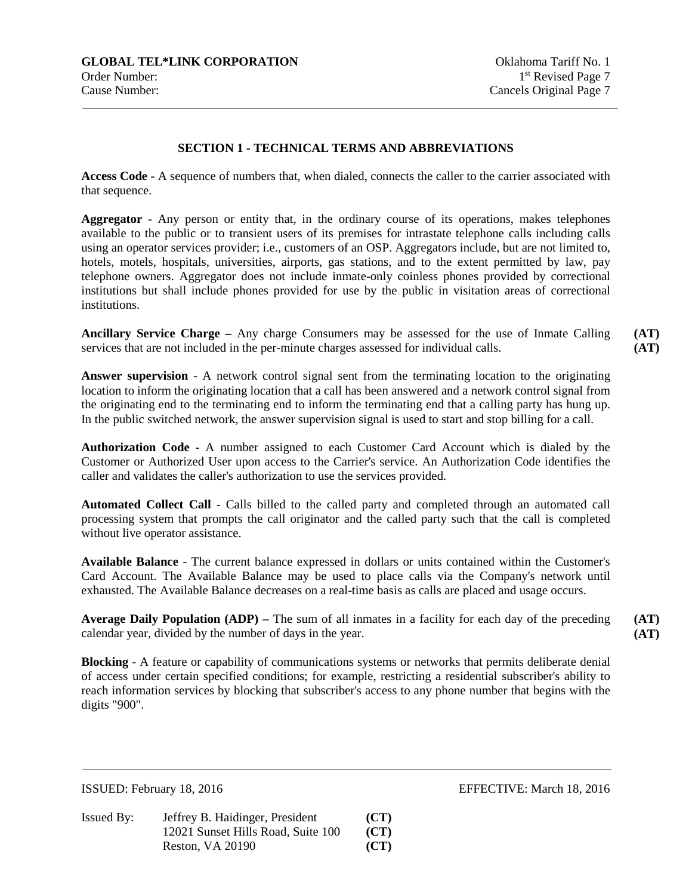## **SECTION 1 - TECHNICAL TERMS AND ABBREVIATIONS**

**Access Code** - A sequence of numbers that, when dialed, connects the caller to the carrier associated with that sequence.

**Aggregator** - Any person or entity that, in the ordinary course of its operations, makes telephones available to the public or to transient users of its premises for intrastate telephone calls including calls using an operator services provider; i.e., customers of an OSP. Aggregators include, but are not limited to, hotels, motels, hospitals, universities, airports, gas stations, and to the extent permitted by law, pay telephone owners. Aggregator does not include inmate-only coinless phones provided by correctional institutions but shall include phones provided for use by the public in visitation areas of correctional institutions.

**Ancillary Service Charge –** Any charge Consumers may be assessed for the use of Inmate Calling services that are not included in the per-minute charges assessed for individual calls.

**Answer supervision** - A network control signal sent from the terminating location to the originating location to inform the originating location that a call has been answered and a network control signal from the originating end to the terminating end to inform the terminating end that a calling party has hung up. In the public switched network, the answer supervision signal is used to start and stop billing for a call.

**Authorization Code** - A number assigned to each Customer Card Account which is dialed by the Customer or Authorized User upon access to the Carrier's service. An Authorization Code identifies the caller and validates the caller's authorization to use the services provided.

**Automated Collect Call** - Calls billed to the called party and completed through an automated call processing system that prompts the call originator and the called party such that the call is completed without live operator assistance.

**Available Balance** - The current balance expressed in dollars or units contained within the Customer's Card Account. The Available Balance may be used to place calls via the Company's network until exhausted. The Available Balance decreases on a real-time basis as calls are placed and usage occurs.

**Average Daily Population (ADP) –** The sum of all inmates in a facility for each day of the preceding calendar year, divided by the number of days in the year. **(AT) (AT)** 

**Blocking** - A feature or capability of communications systems or networks that permits deliberate denial of access under certain specified conditions; for example, restricting a residential subscriber's ability to reach information services by blocking that subscriber's access to any phone number that begins with the digits "900".

| Issued By: | Jeffrey B. Haidinger, President    | (CT) |
|------------|------------------------------------|------|
|            | 12021 Sunset Hills Road, Suite 100 | (CT) |
|            | Reston, VA 20190                   | (CT) |

ISSUED: February 18, 2016 EFFECTIVE: March 18, 2016

**(AT) (AT)**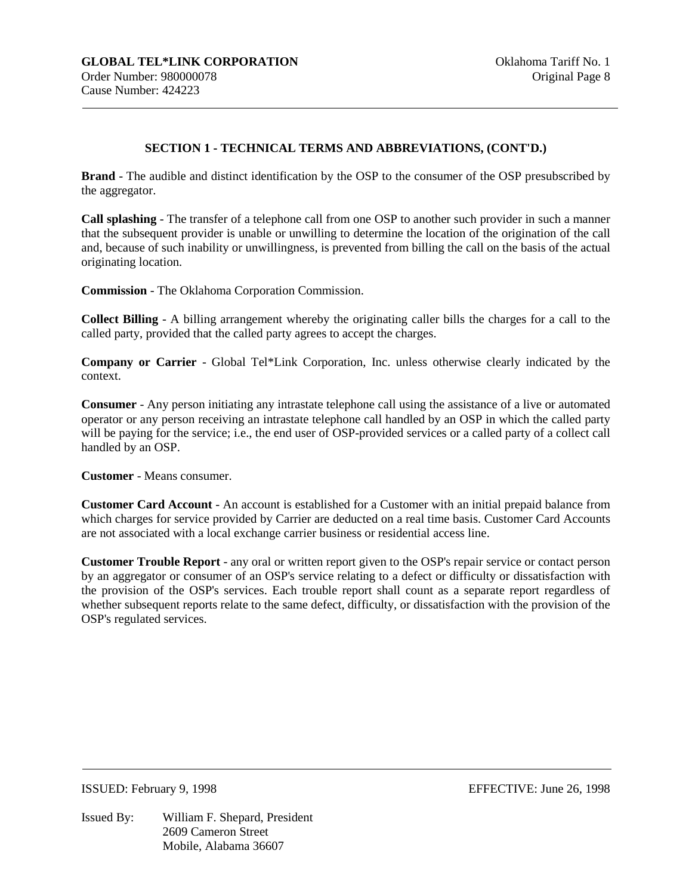**Brand** - The audible and distinct identification by the OSP to the consumer of the OSP presubscribed by the aggregator.

**Call splashing** - The transfer of a telephone call from one OSP to another such provider in such a manner that the subsequent provider is unable or unwilling to determine the location of the origination of the call and, because of such inability or unwillingness, is prevented from billing the call on the basis of the actual originating location.

**Commission** - The Oklahoma Corporation Commission.

**Collect Billing** - A billing arrangement whereby the originating caller bills the charges for a call to the called party, provided that the called party agrees to accept the charges.

**Company or Carrier** - Global Tel\*Link Corporation, Inc. unless otherwise clearly indicated by the context.

**Consumer** - Any person initiating any intrastate telephone call using the assistance of a live or automated operator or any person receiving an intrastate telephone call handled by an OSP in which the called party will be paying for the service; i.e., the end user of OSP-provided services or a called party of a collect call handled by an OSP.

**Customer** - Means consumer.

**Customer Card Account** - An account is established for a Customer with an initial prepaid balance from which charges for service provided by Carrier are deducted on a real time basis. Customer Card Accounts are not associated with a local exchange carrier business or residential access line.

**Customer Trouble Report** - any oral or written report given to the OSP's repair service or contact person by an aggregator or consumer of an OSP's service relating to a defect or difficulty or dissatisfaction with the provision of the OSP's services. Each trouble report shall count as a separate report regardless of whether subsequent reports relate to the same defect, difficulty, or dissatisfaction with the provision of the OSP's regulated services.

ISSUED: February 9, 1998 EFFECTIVE: June 26, 1998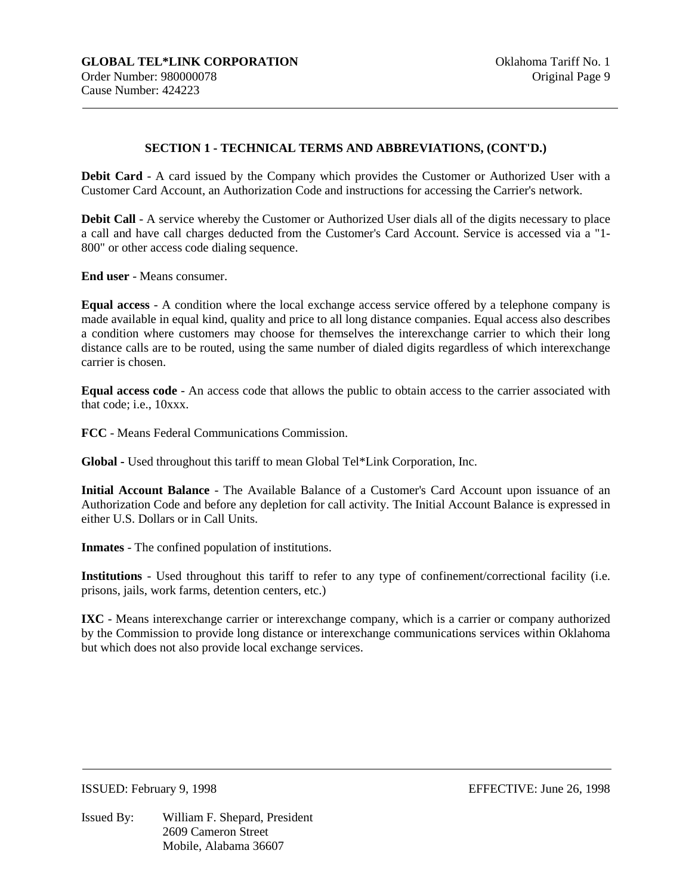**Debit Card** - A card issued by the Company which provides the Customer or Authorized User with a Customer Card Account, an Authorization Code and instructions for accessing the Carrier's network.

**Debit Call** - A service whereby the Customer or Authorized User dials all of the digits necessary to place a call and have call charges deducted from the Customer's Card Account. Service is accessed via a "1- 800" or other access code dialing sequence.

**End user** - Means consumer.

**Equal access** - A condition where the local exchange access service offered by a telephone company is made available in equal kind, quality and price to all long distance companies. Equal access also describes a condition where customers may choose for themselves the interexchange carrier to which their long distance calls are to be routed, using the same number of dialed digits regardless of which interexchange carrier is chosen.

**Equal access code** - An access code that allows the public to obtain access to the carrier associated with that code; i.e., 10xxx.

**FCC** - Means Federal Communications Commission.

**Global -** Used throughout this tariff to mean Global Tel\*Link Corporation, Inc.

**Initial Account Balance** - The Available Balance of a Customer's Card Account upon issuance of an Authorization Code and before any depletion for call activity. The Initial Account Balance is expressed in either U.S. Dollars or in Call Units.

**Inmates** - The confined population of institutions.

**Institutions** - Used throughout this tariff to refer to any type of confinement/correctional facility (i.e. prisons, jails, work farms, detention centers, etc.)

**IXC** - Means interexchange carrier or interexchange company, which is a carrier or company authorized by the Commission to provide long distance or interexchange communications services within Oklahoma but which does not also provide local exchange services.

Issued By: William F. Shepard, President 2609 Cameron Street Mobile, Alabama 36607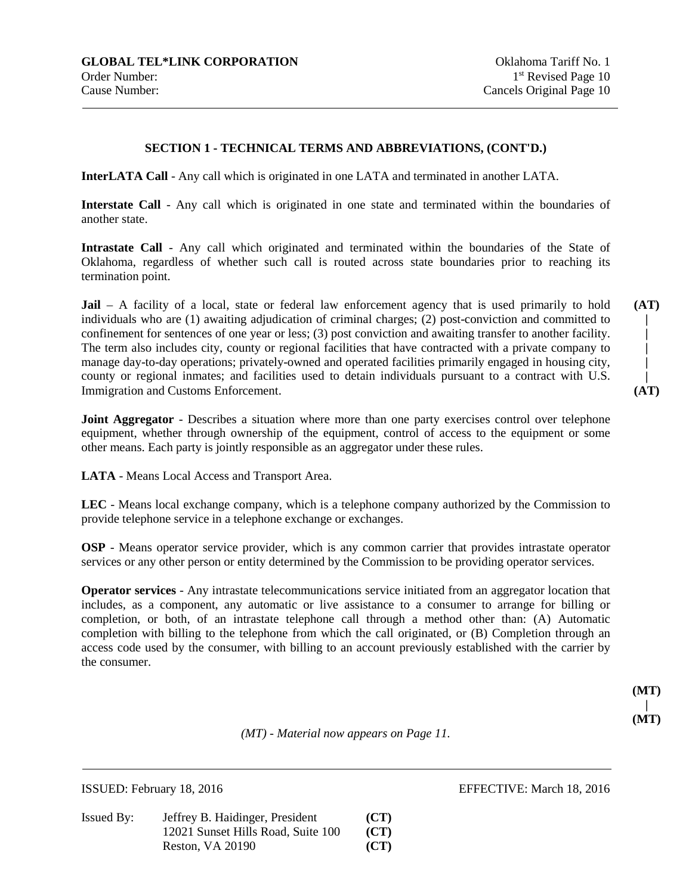**InterLATA Call** - Any call which is originated in one LATA and terminated in another LATA.

**Interstate Call** - Any call which is originated in one state and terminated within the boundaries of another state.

**Intrastate Call** - Any call which originated and terminated within the boundaries of the State of Oklahoma, regardless of whether such call is routed across state boundaries prior to reaching its termination point.

**Jail** – A facility of a local, state or federal law enforcement agency that is used primarily to hold individuals who are (1) awaiting adjudication of criminal charges; (2) post-conviction and committed to confinement for sentences of one year or less; (3) post conviction and awaiting transfer to another facility. The term also includes city, county or regional facilities that have contracted with a private company to manage day-to-day operations; privately-owned and operated facilities primarily engaged in housing city, county or regional inmates; and facilities used to detain individuals pursuant to a contract with U.S. Immigration and Customs Enforcement.

**Joint Aggregator** - Describes a situation where more than one party exercises control over telephone equipment, whether through ownership of the equipment, control of access to the equipment or some other means. Each party is jointly responsible as an aggregator under these rules.

**LATA** - Means Local Access and Transport Area.

**LEC** - Means local exchange company, which is a telephone company authorized by the Commission to provide telephone service in a telephone exchange or exchanges.

**OSP** - Means operator service provider, which is any common carrier that provides intrastate operator services or any other person or entity determined by the Commission to be providing operator services.

**Operator services** - Any intrastate telecommunications service initiated from an aggregator location that includes, as a component, any automatic or live assistance to a consumer to arrange for billing or completion, or both, of an intrastate telephone call through a method other than: (A) Automatic completion with billing to the telephone from which the call originated, or (B) Completion through an access code used by the consumer, with billing to an account previously established with the carrier by the consumer.

| (MT<br>ı |
|----------|
|          |
| (MT      |

*(MT) - Material now appears on Page 11.* 

| Issued By: | Jeffrey B. Haidinger, President    | (CT) |
|------------|------------------------------------|------|
|            | 12021 Sunset Hills Road, Suite 100 | (CT) |
|            | Reston, VA 20190                   | (CT) |

ISSUED: February 18, 2016 EFFECTIVE: March 18, 2016

**| (AT)** 

**(AT) | | | |**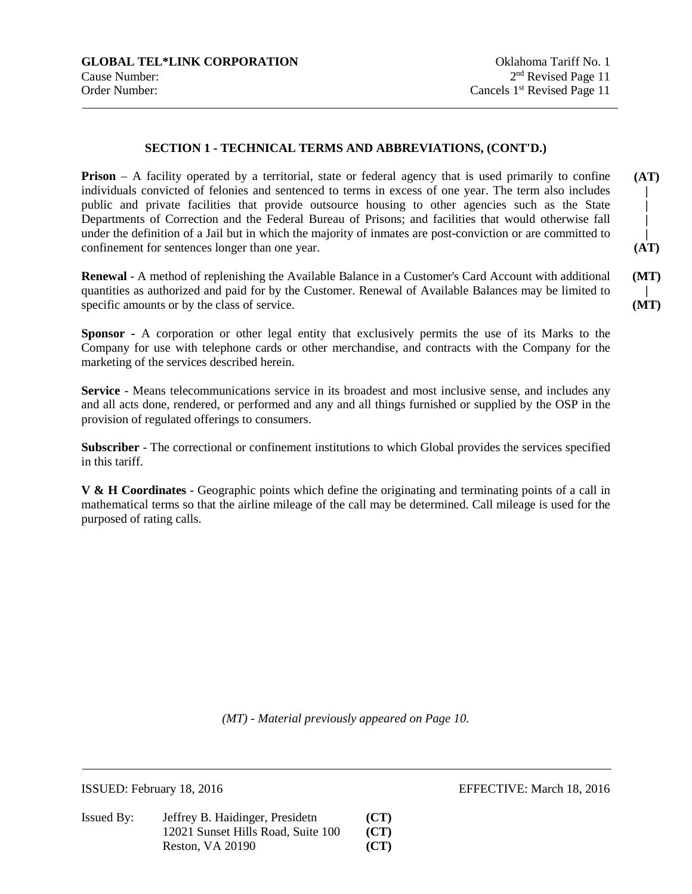**Prison** – A facility operated by a territorial, state or federal agency that is used primarily to confine individuals convicted of felonies and sentenced to terms in excess of one year. The term also includes public and private facilities that provide outsource housing to other agencies such as the State Departments of Correction and the Federal Bureau of Prisons; and facilities that would otherwise fall under the definition of a Jail but in which the majority of inmates are post-conviction or are committed to confinement for sentences longer than one year. **(AT) | | | | (AT)** 

**Renewal** - A method of replenishing the Available Balance in a Customer's Card Account with additional quantities as authorized and paid for by the Customer. Renewal of Available Balances may be limited to specific amounts or by the class of service. **(MT) (MT)** 

**Sponsor -** A corporation or other legal entity that exclusively permits the use of its Marks to the Company for use with telephone cards or other merchandise, and contracts with the Company for the marketing of the services described herein.

**Service** - Means telecommunications service in its broadest and most inclusive sense, and includes any and all acts done, rendered, or performed and any and all things furnished or supplied by the OSP in the provision of regulated offerings to consumers.

**Subscriber** - The correctional or confinement institutions to which Global provides the services specified in this tariff.

**V & H Coordinates** - Geographic points which define the originating and terminating points of a call in mathematical terms so that the airline mileage of the call may be determined. Call mileage is used for the purposed of rating calls.

*(MT) - Material previously appeared on Page 10.* 

Issued By: Jeffrey B. Haidinger, Presidetn **(CT)** 12021 Sunset Hills Road, Suite 100 **(CT)** Reston, VA 20190 **(CT)** 

ISSUED: February 18, 2016 EFFECTIVE: March 18, 2016

**|**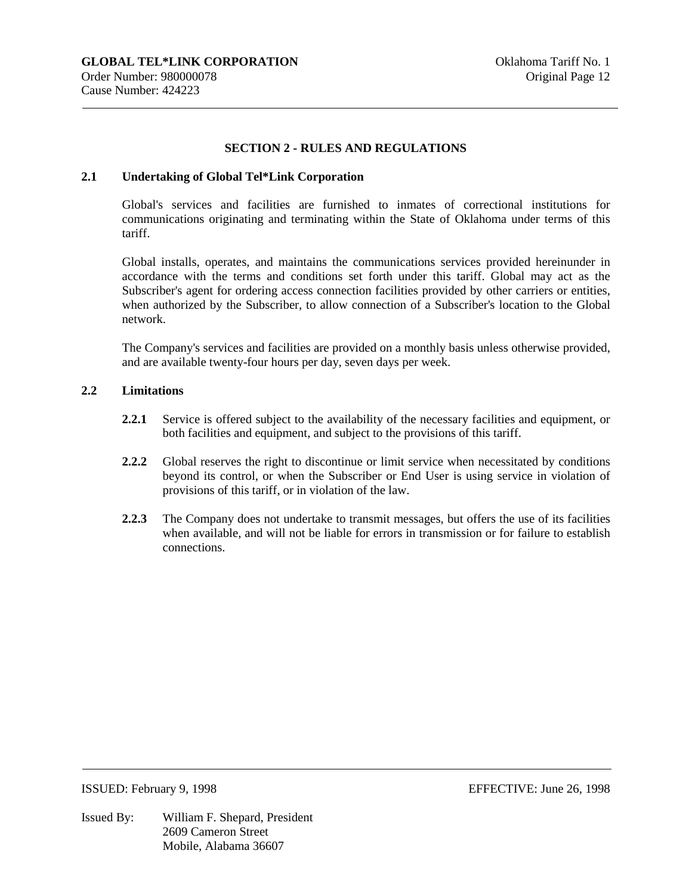#### **SECTION 2 - RULES AND REGULATIONS**

#### **2.1 Undertaking of Global Tel\*Link Corporation**

Global's services and facilities are furnished to inmates of correctional institutions for communications originating and terminating within the State of Oklahoma under terms of this tariff.

Global installs, operates, and maintains the communications services provided hereinunder in accordance with the terms and conditions set forth under this tariff. Global may act as the Subscriber's agent for ordering access connection facilities provided by other carriers or entities, when authorized by the Subscriber, to allow connection of a Subscriber's location to the Global network.

The Company's services and facilities are provided on a monthly basis unless otherwise provided, and are available twenty-four hours per day, seven days per week.

#### **2.2 Limitations**

- **2.2.1** Service is offered subject to the availability of the necessary facilities and equipment, or both facilities and equipment, and subject to the provisions of this tariff.
- **2.2.2** Global reserves the right to discontinue or limit service when necessitated by conditions beyond its control, or when the Subscriber or End User is using service in violation of provisions of this tariff, or in violation of the law.
- **2.2.3** The Company does not undertake to transmit messages, but offers the use of its facilities when available, and will not be liable for errors in transmission or for failure to establish connections.

Issued By: William F. Shepard, President 2609 Cameron Street Mobile, Alabama 36607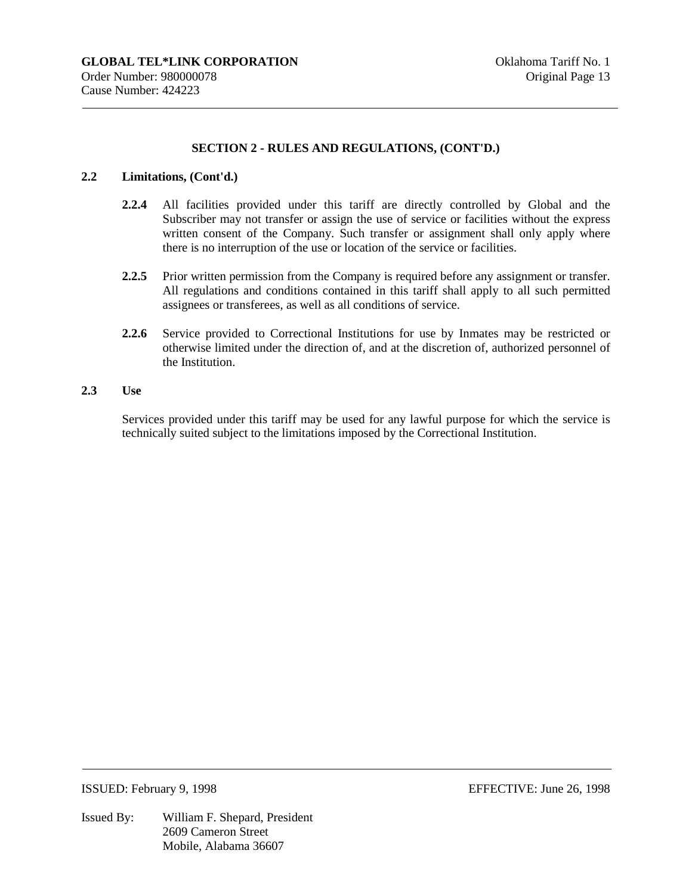#### **2.2 Limitations, (Cont'd.)**

- **2.2.4** All facilities provided under this tariff are directly controlled by Global and the Subscriber may not transfer or assign the use of service or facilities without the express written consent of the Company. Such transfer or assignment shall only apply where there is no interruption of the use or location of the service or facilities.
- **2.2.5** Prior written permission from the Company is required before any assignment or transfer. All regulations and conditions contained in this tariff shall apply to all such permitted assignees or transferees, as well as all conditions of service.
- **2.2.6** Service provided to Correctional Institutions for use by Inmates may be restricted or otherwise limited under the direction of, and at the discretion of, authorized personnel of the Institution.

#### **2.3 Use**

Services provided under this tariff may be used for any lawful purpose for which the service is technically suited subject to the limitations imposed by the Correctional Institution.

Issued By: William F. Shepard, President 2609 Cameron Street Mobile, Alabama 36607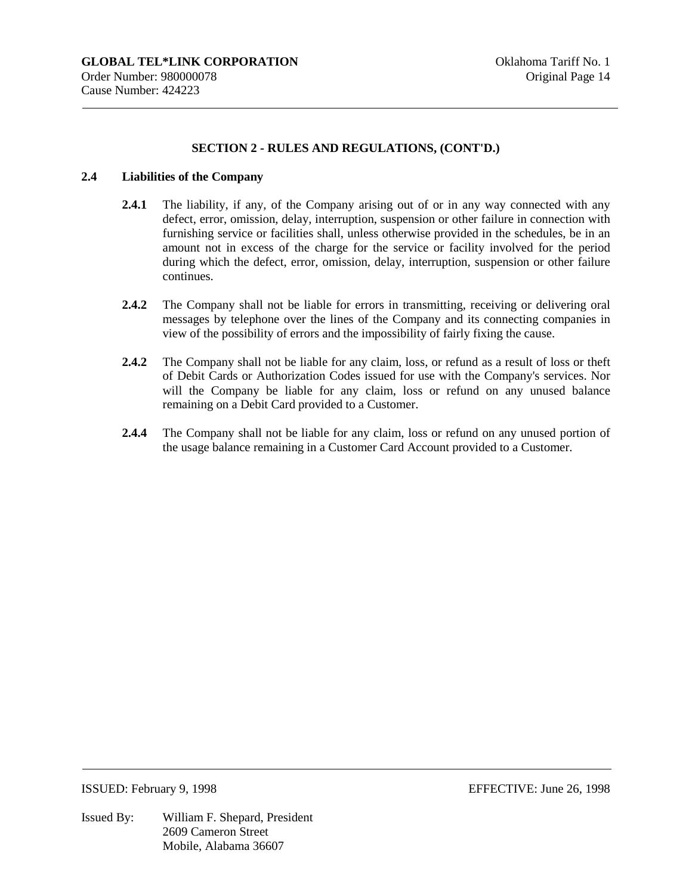#### **2.4 Liabilities of the Company**

- **2.4.1** The liability, if any, of the Company arising out of or in any way connected with any defect, error, omission, delay, interruption, suspension or other failure in connection with furnishing service or facilities shall, unless otherwise provided in the schedules, be in an amount not in excess of the charge for the service or facility involved for the period during which the defect, error, omission, delay, interruption, suspension or other failure continues.
- **2.4.2** The Company shall not be liable for errors in transmitting, receiving or delivering oral messages by telephone over the lines of the Company and its connecting companies in view of the possibility of errors and the impossibility of fairly fixing the cause.
- **2.4.2** The Company shall not be liable for any claim, loss, or refund as a result of loss or theft of Debit Cards or Authorization Codes issued for use with the Company's services. Nor will the Company be liable for any claim, loss or refund on any unused balance remaining on a Debit Card provided to a Customer.
- **2.4.4** The Company shall not be liable for any claim, loss or refund on any unused portion of the usage balance remaining in a Customer Card Account provided to a Customer.

Issued By: William F. Shepard, President 2609 Cameron Street Mobile, Alabama 36607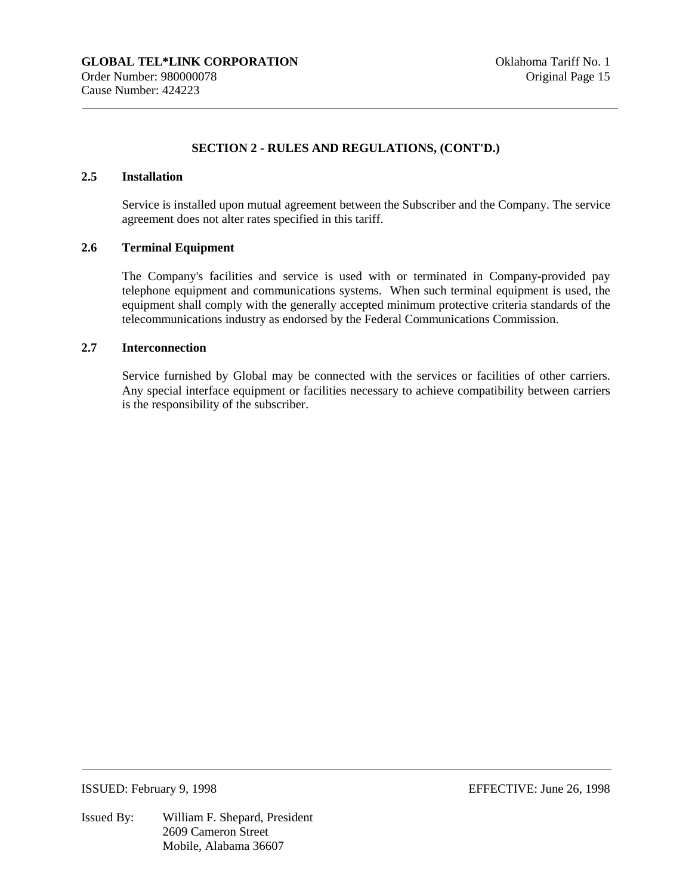## **2.5 Installation**

Service is installed upon mutual agreement between the Subscriber and the Company. The service agreement does not alter rates specified in this tariff.

#### **2.6 Terminal Equipment**

The Company's facilities and service is used with or terminated in Company-provided pay telephone equipment and communications systems. When such terminal equipment is used, the equipment shall comply with the generally accepted minimum protective criteria standards of the telecommunications industry as endorsed by the Federal Communications Commission.

## **2.7 Interconnection**

Service furnished by Global may be connected with the services or facilities of other carriers. Any special interface equipment or facilities necessary to achieve compatibility between carriers is the responsibility of the subscriber.

ISSUED: February 9, 1998 EFFECTIVE: June 26, 1998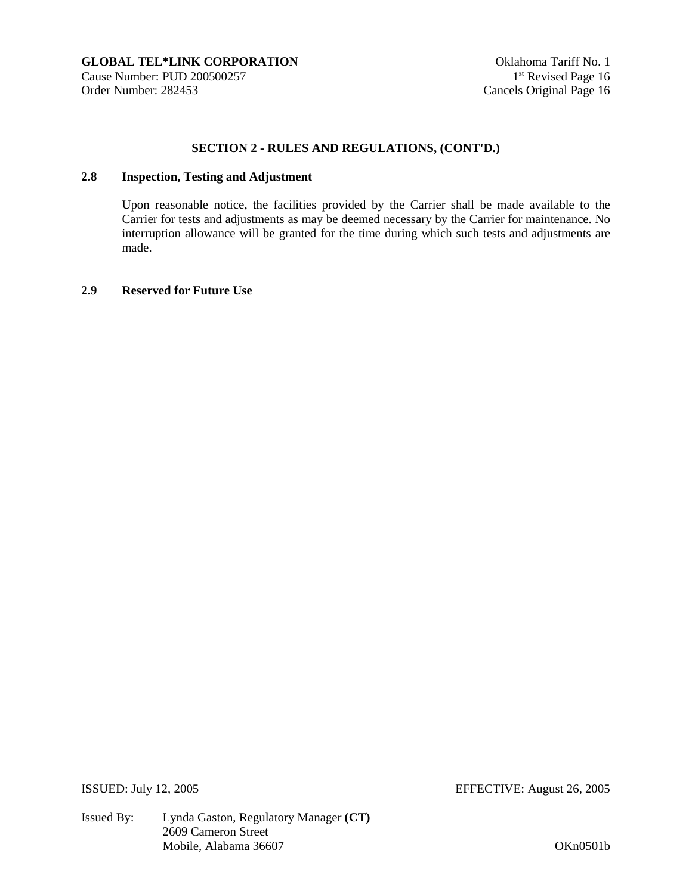## **2.8 Inspection, Testing and Adjustment**

Upon reasonable notice, the facilities provided by the Carrier shall be made available to the Carrier for tests and adjustments as may be deemed necessary by the Carrier for maintenance. No interruption allowance will be granted for the time during which such tests and adjustments are made.

#### **2.9 Reserved for Future Use**

ISSUED: July 12, 2005 EFFECTIVE: August 26, 2005

Issued By: Lynda Gaston, Regulatory Manager **(CT)**  2609 Cameron Street Mobile, Alabama 36607 OKn0501b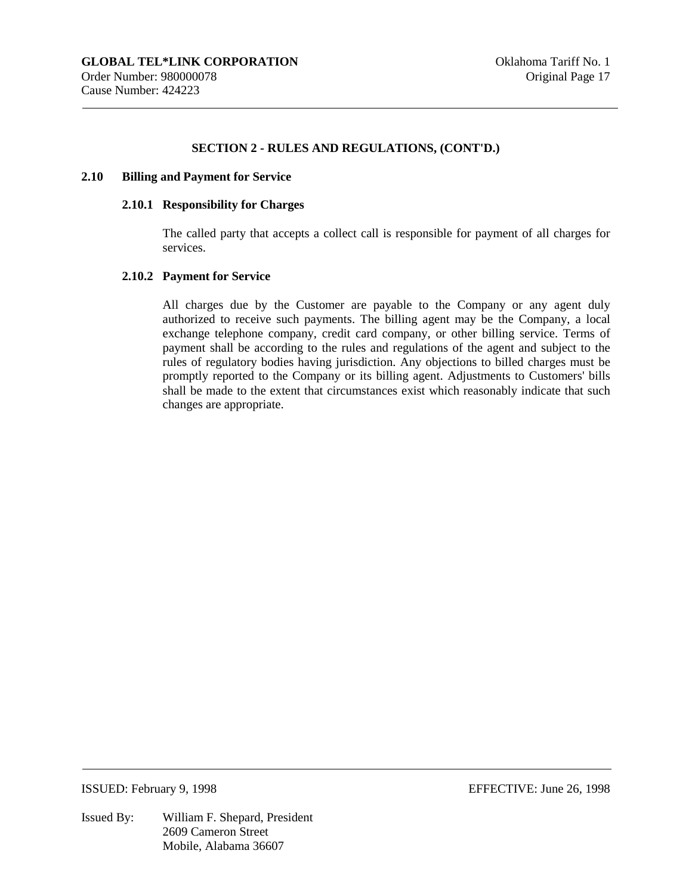#### **2.10 Billing and Payment for Service**

#### **2.10.1 Responsibility for Charges**

The called party that accepts a collect call is responsible for payment of all charges for services.

#### **2.10.2 Payment for Service**

All charges due by the Customer are payable to the Company or any agent duly authorized to receive such payments. The billing agent may be the Company, a local exchange telephone company, credit card company, or other billing service. Terms of payment shall be according to the rules and regulations of the agent and subject to the rules of regulatory bodies having jurisdiction. Any objections to billed charges must be promptly reported to the Company or its billing agent. Adjustments to Customers' bills shall be made to the extent that circumstances exist which reasonably indicate that such changes are appropriate.

#### ISSUED: February 9, 1998 EFFECTIVE: June 26, 1998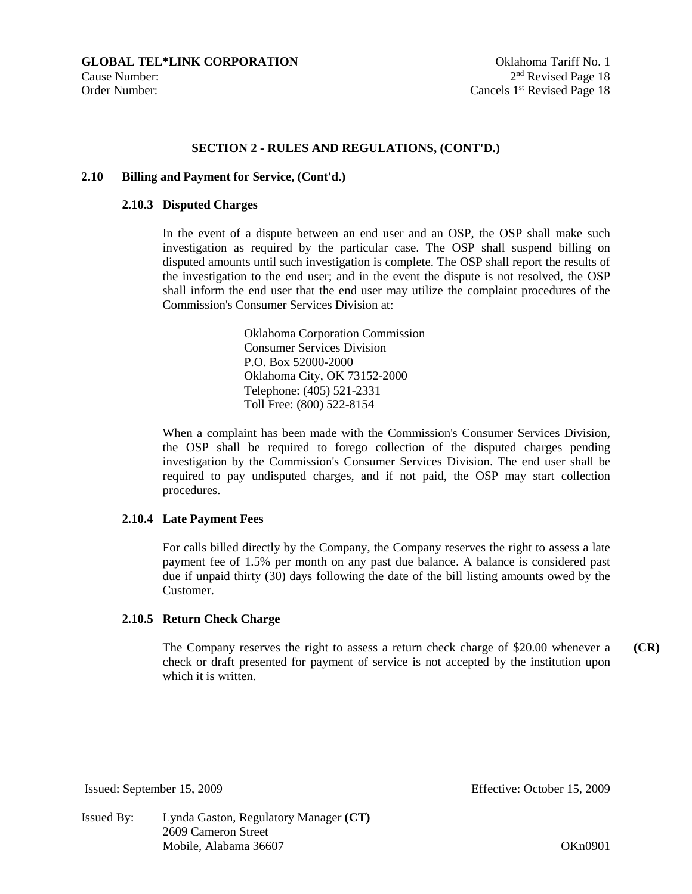#### **2.10 Billing and Payment for Service, (Cont'd.)**

#### **2.10.3 Disputed Charges**

In the event of a dispute between an end user and an OSP, the OSP shall make such investigation as required by the particular case. The OSP shall suspend billing on disputed amounts until such investigation is complete. The OSP shall report the results of the investigation to the end user; and in the event the dispute is not resolved, the OSP shall inform the end user that the end user may utilize the complaint procedures of the Commission's Consumer Services Division at:

> Oklahoma Corporation Commission Consumer Services Division P.O. Box 52000-2000 Oklahoma City, OK 73152-2000 Telephone: (405) 521-2331 Toll Free: (800) 522-8154

When a complaint has been made with the Commission's Consumer Services Division, the OSP shall be required to forego collection of the disputed charges pending investigation by the Commission's Consumer Services Division. The end user shall be required to pay undisputed charges, and if not paid, the OSP may start collection procedures.

#### **2.10.4 Late Payment Fees**

For calls billed directly by the Company, the Company reserves the right to assess a late payment fee of 1.5% per month on any past due balance. A balance is considered past due if unpaid thirty (30) days following the date of the bill listing amounts owed by the Customer.

#### **2.10.5 Return Check Charge**

The Company reserves the right to assess a return check charge of \$20.00 whenever a check or draft presented for payment of service is not accepted by the institution upon which it is written. **(CR)** 

Issued: September 15, 2009 Effective: October 15, 2009

Issued By: Lynda Gaston, Regulatory Manager **(CT)**  2609 Cameron Street Mobile, Alabama 36607 **OKnowledge** 26607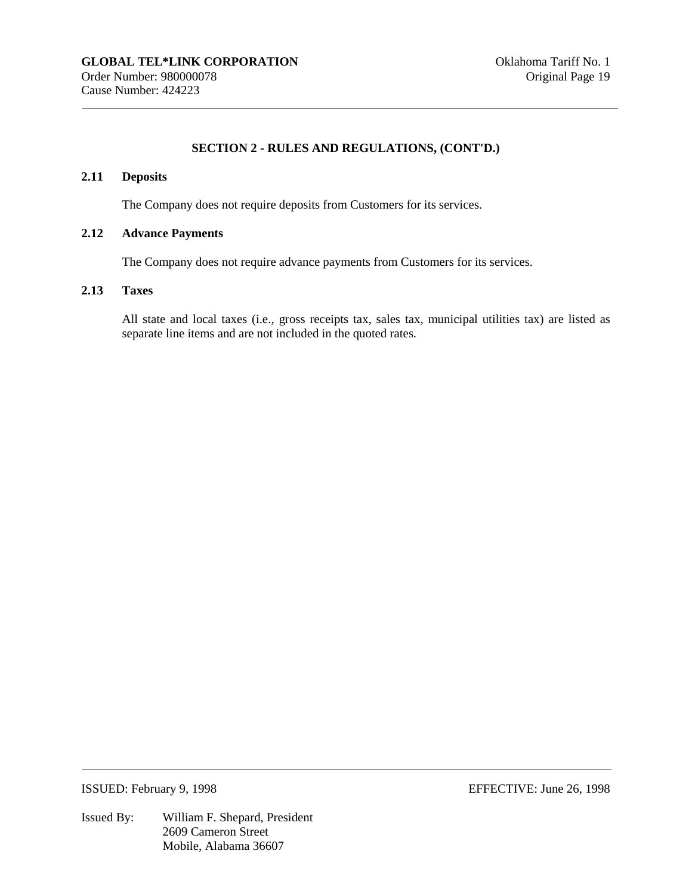#### **2.11 Deposits**

The Company does not require deposits from Customers for its services.

#### **2.12 Advance Payments**

The Company does not require advance payments from Customers for its services.

#### **2.13 Taxes**

All state and local taxes (i.e., gross receipts tax, sales tax, municipal utilities tax) are listed as separate line items and are not included in the quoted rates.

ISSUED: February 9, 1998 EFFECTIVE: June 26, 1998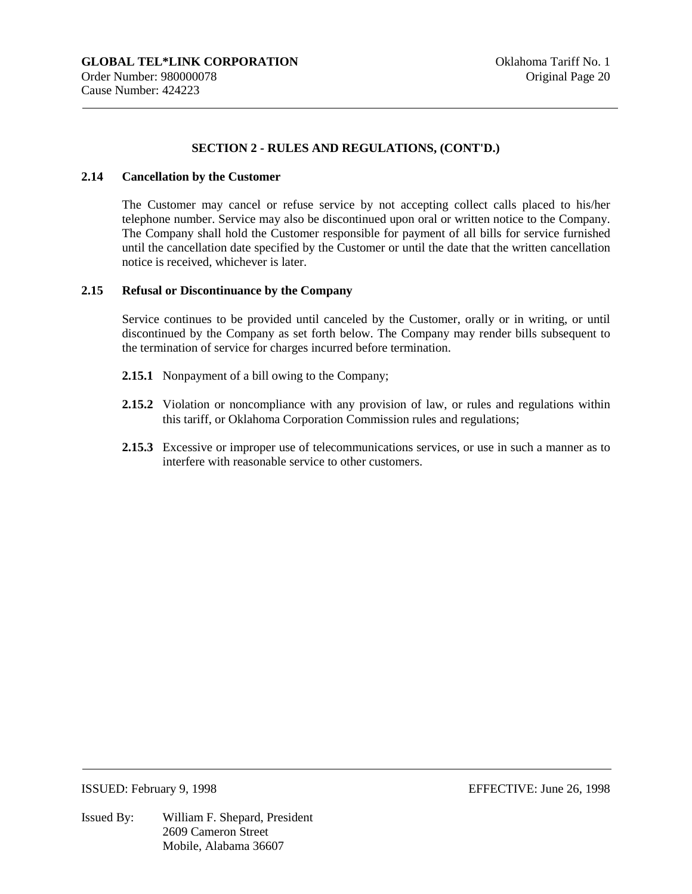#### **2.14 Cancellation by the Customer**

The Customer may cancel or refuse service by not accepting collect calls placed to his/her telephone number. Service may also be discontinued upon oral or written notice to the Company. The Company shall hold the Customer responsible for payment of all bills for service furnished until the cancellation date specified by the Customer or until the date that the written cancellation notice is received, whichever is later.

#### **2.15 Refusal or Discontinuance by the Company**

Service continues to be provided until canceled by the Customer, orally or in writing, or until discontinued by the Company as set forth below. The Company may render bills subsequent to the termination of service for charges incurred before termination.

- **2.15.1** Nonpayment of a bill owing to the Company;
- **2.15.2** Violation or noncompliance with any provision of law, or rules and regulations within this tariff, or Oklahoma Corporation Commission rules and regulations;
- **2.15.3** Excessive or improper use of telecommunications services, or use in such a manner as to interfere with reasonable service to other customers.

ISSUED: February 9, 1998 EFFECTIVE: June 26, 1998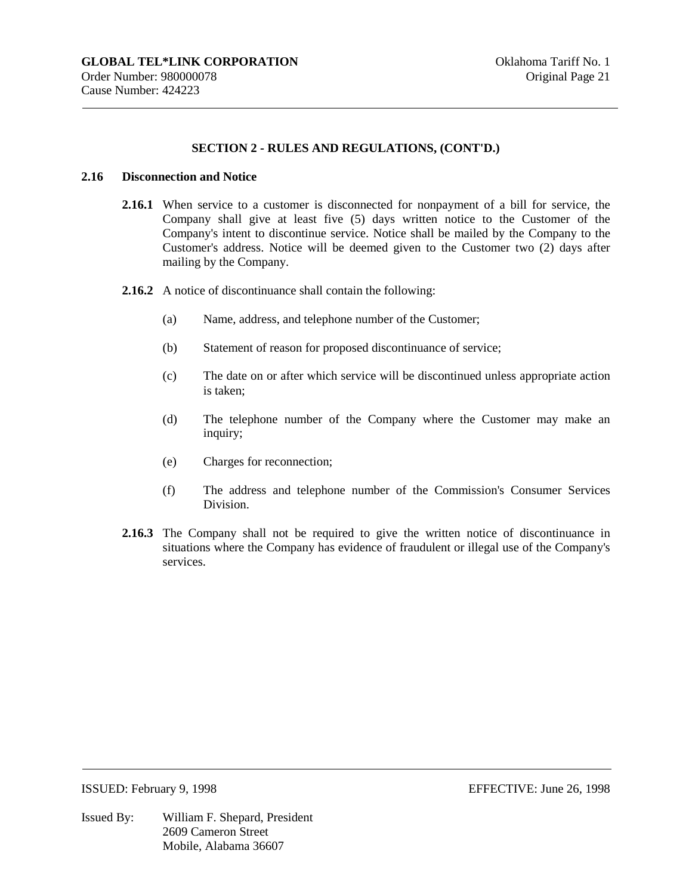#### **2.16 Disconnection and Notice**

- **2.16.1** When service to a customer is disconnected for nonpayment of a bill for service, the Company shall give at least five (5) days written notice to the Customer of the Company's intent to discontinue service. Notice shall be mailed by the Company to the Customer's address. Notice will be deemed given to the Customer two (2) days after mailing by the Company.
- **2.16.2** A notice of discontinuance shall contain the following:
	- (a) Name, address, and telephone number of the Customer;
	- (b) Statement of reason for proposed discontinuance of service;
	- (c) The date on or after which service will be discontinued unless appropriate action is taken;
	- (d) The telephone number of the Company where the Customer may make an inquiry;
	- (e) Charges for reconnection;
	- (f) The address and telephone number of the Commission's Consumer Services Division.
- **2.16.3** The Company shall not be required to give the written notice of discontinuance in situations where the Company has evidence of fraudulent or illegal use of the Company's services.

ISSUED: February 9, 1998 EFFECTIVE: June 26, 1998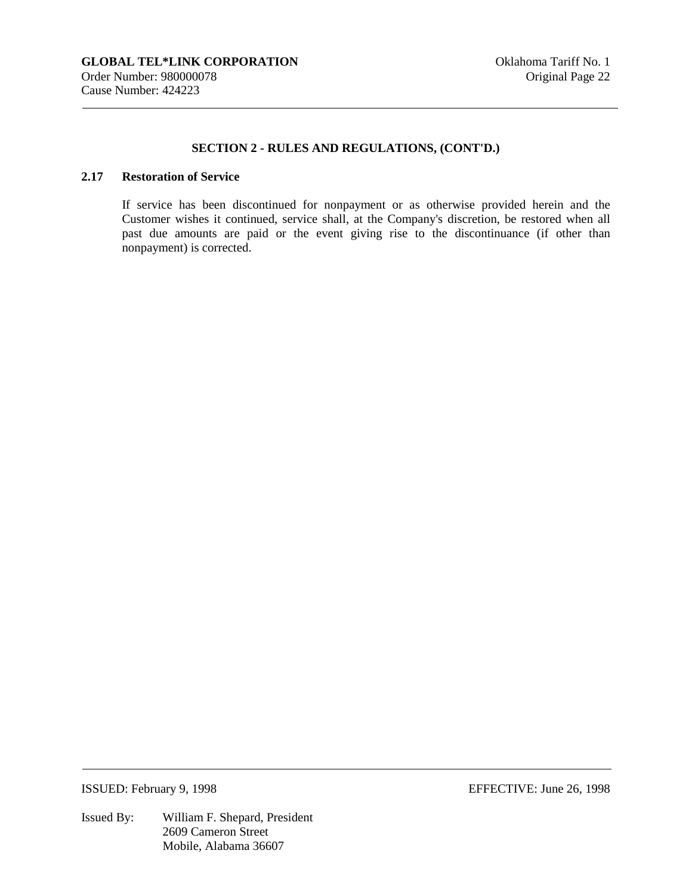## **2.17 Restoration of Service**

If service has been discontinued for nonpayment or as otherwise provided herein and the Customer wishes it continued, service shall, at the Company's discretion, be restored when all past due amounts are paid or the event giving rise to the discontinuance (if other than nonpayment) is corrected.

Issued By: William F. Shepard, President 2609 Cameron Street Mobile, Alabama 36607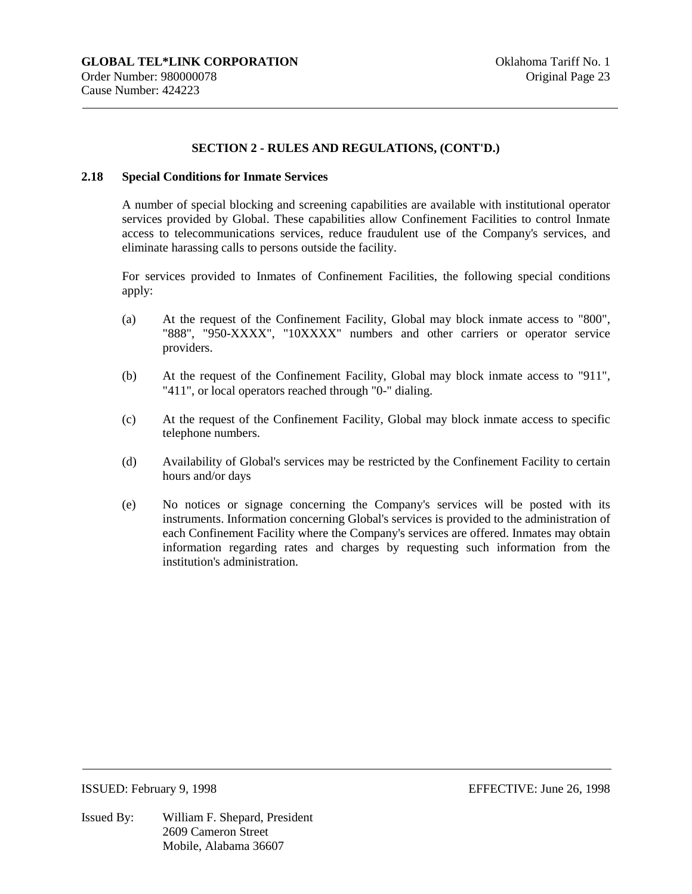#### **2.18 Special Conditions for Inmate Services**

A number of special blocking and screening capabilities are available with institutional operator services provided by Global. These capabilities allow Confinement Facilities to control Inmate access to telecommunications services, reduce fraudulent use of the Company's services, and eliminate harassing calls to persons outside the facility.

For services provided to Inmates of Confinement Facilities, the following special conditions apply:

- (a) At the request of the Confinement Facility, Global may block inmate access to "800", "888", "950-XXXX", "10XXXX" numbers and other carriers or operator service providers.
- (b) At the request of the Confinement Facility, Global may block inmate access to "911", "411", or local operators reached through "0-" dialing.
- (c) At the request of the Confinement Facility, Global may block inmate access to specific telephone numbers.
- (d) Availability of Global's services may be restricted by the Confinement Facility to certain hours and/or days
- (e) No notices or signage concerning the Company's services will be posted with its instruments. Information concerning Global's services is provided to the administration of each Confinement Facility where the Company's services are offered. Inmates may obtain information regarding rates and charges by requesting such information from the institution's administration.

Issued By: William F. Shepard, President 2609 Cameron Street Mobile, Alabama 36607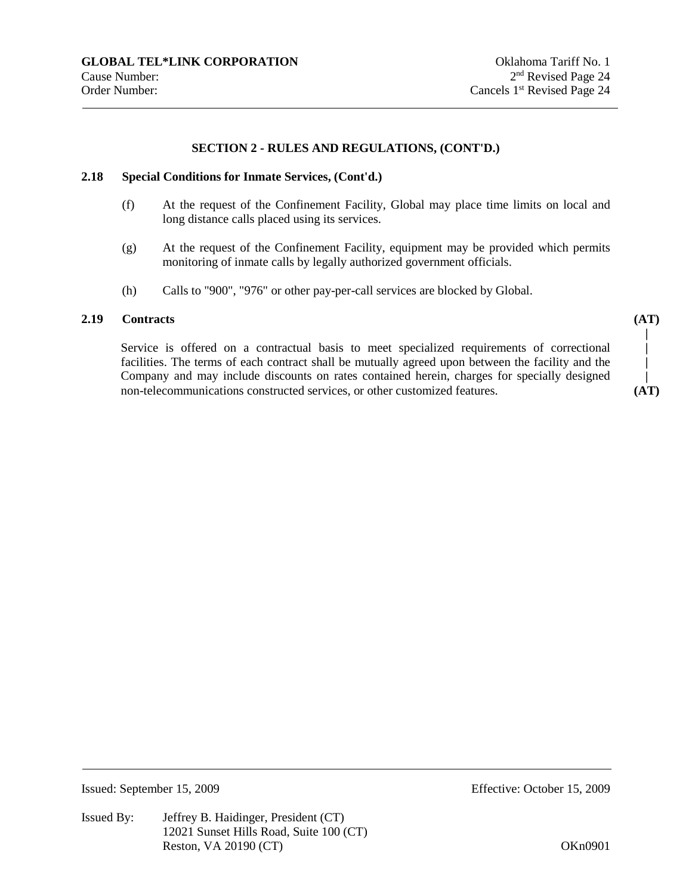#### **2.18 Special Conditions for Inmate Services, (Cont'd.)**

- (f) At the request of the Confinement Facility, Global may place time limits on local and long distance calls placed using its services.
- (g) At the request of the Confinement Facility, equipment may be provided which permits monitoring of inmate calls by legally authorized government officials.
- (h) Calls to "900", "976" or other pay-per-call services are blocked by Global.

## **2.19 Contracts**

Service is offered on a contractual basis to meet specialized requirements of correctional facilities. The terms of each contract shall be mutually agreed upon between the facility and the Company and may include discounts on rates contained herein, charges for specially designed non-telecommunications constructed services, or other customized features.

**(AT) | | | |** 

**(AT)**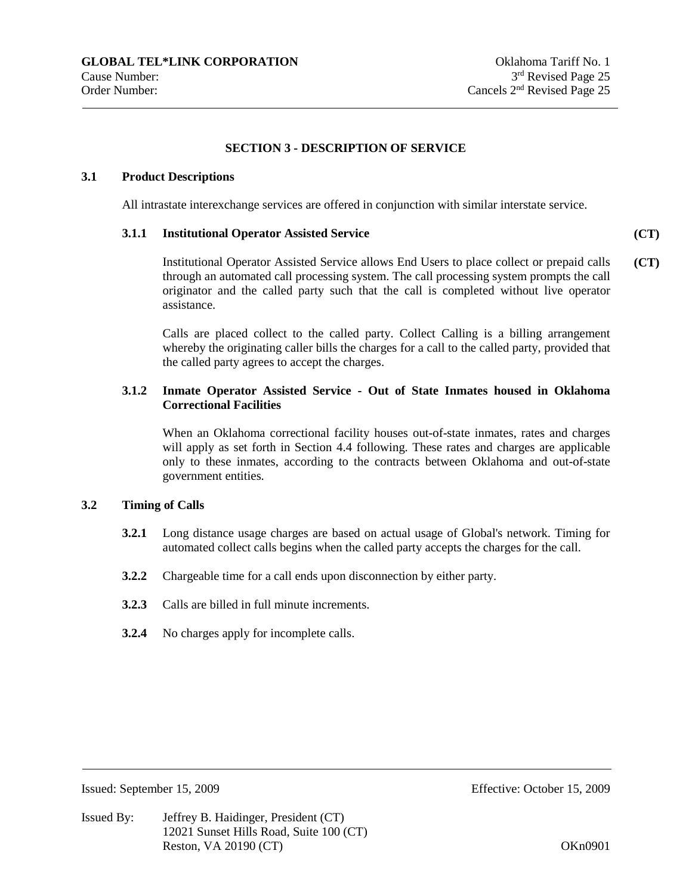#### **SECTION 3 - DESCRIPTION OF SERVICE**

#### **3.1 Product Descriptions**

All intrastate interexchange services are offered in conjunction with similar interstate service.

#### **3.1.1 Institutional Operator Assisted Service**

**(CT)** 

Institutional Operator Assisted Service allows End Users to place collect or prepaid calls through an automated call processing system. The call processing system prompts the call originator and the called party such that the call is completed without live operator assistance. **(CT)** 

Calls are placed collect to the called party. Collect Calling is a billing arrangement whereby the originating caller bills the charges for a call to the called party, provided that the called party agrees to accept the charges.

## **3.1.2 Inmate Operator Assisted Service - Out of State Inmates housed in Oklahoma Correctional Facilities**

When an Oklahoma correctional facility houses out-of-state inmates, rates and charges will apply as set forth in Section 4.4 following. These rates and charges are applicable only to these inmates, according to the contracts between Oklahoma and out-of-state government entities.

#### **3.2 Timing of Calls**

- **3.2.1** Long distance usage charges are based on actual usage of Global's network. Timing for automated collect calls begins when the called party accepts the charges for the call.
- **3.2.2** Chargeable time for a call ends upon disconnection by either party.
- **3.2.3** Calls are billed in full minute increments.
- **3.2.4** No charges apply for incomplete calls.

Issued: September 15, 2009 Effective: October 15, 2009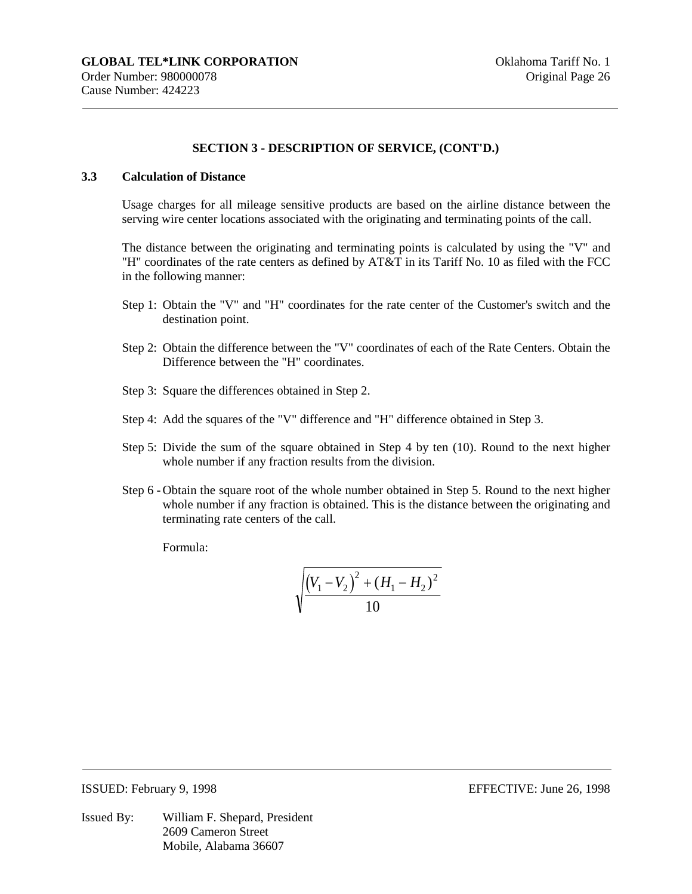#### **3.3 Calculation of Distance**

Usage charges for all mileage sensitive products are based on the airline distance between the serving wire center locations associated with the originating and terminating points of the call.

The distance between the originating and terminating points is calculated by using the "V" and "H" coordinates of the rate centers as defined by AT&T in its Tariff No. 10 as filed with the FCC in the following manner:

- Step 1: Obtain the "V" and "H" coordinates for the rate center of the Customer's switch and the destination point.
- Step 2: Obtain the difference between the "V" coordinates of each of the Rate Centers. Obtain the Difference between the "H" coordinates.
- Step 3: Square the differences obtained in Step 2.
- Step 4: Add the squares of the "V" difference and "H" difference obtained in Step 3.
- Step 5: Divide the sum of the square obtained in Step 4 by ten (10). Round to the next higher whole number if any fraction results from the division.
- Step 6 Obtain the square root of the whole number obtained in Step 5. Round to the next higher whole number if any fraction is obtained. This is the distance between the originating and terminating rate centers of the call.

Formula:

$$
\sqrt{\frac{(V_1 - V_2)^2 + (H_1 - H_2)^2}{10}}
$$

Issued By: William F. Shepard, President 2609 Cameron Street Mobile, Alabama 36607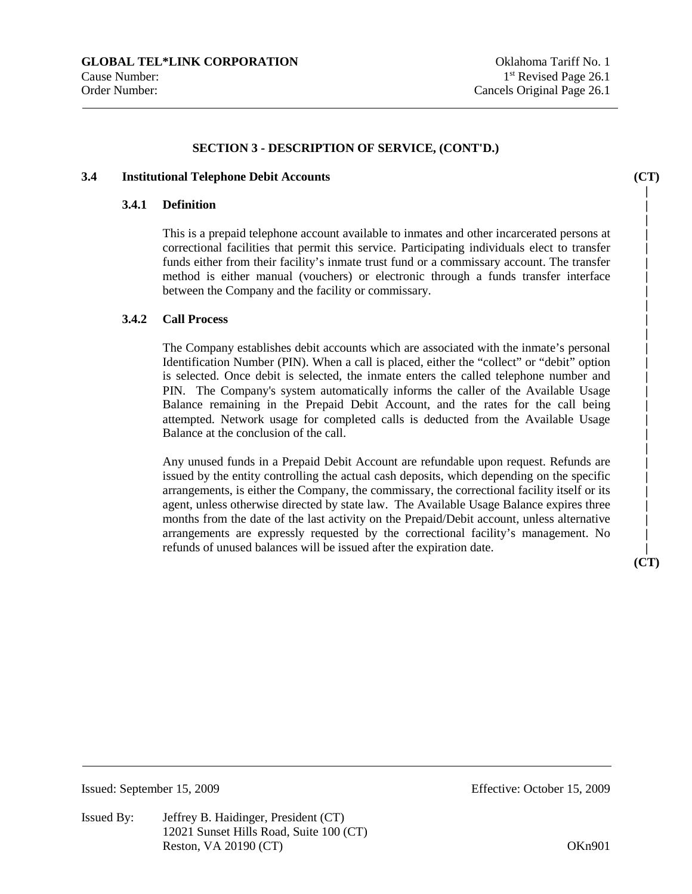#### **3.4 Institutional Telephone Debit Accounts**

#### **3.4.1 Definition**

This is a prepaid telephone account available to inmates and other incarcerated persons at correctional facilities that permit this service. Participating individuals elect to transfer funds either from their facility's inmate trust fund or a commissary account. The transfer method is either manual (vouchers) or electronic through a funds transfer interface between the Company and the facility or commissary.

## **3.4.2 Call Process**

The Company establishes debit accounts which are associated with the inmate's personal Identification Number (PIN). When a call is placed, either the "collect" or "debit" option is selected. Once debit is selected, the inmate enters the called telephone number and PIN. The Company's system automatically informs the caller of the Available Usage Balance remaining in the Prepaid Debit Account, and the rates for the call being attempted. Network usage for completed calls is deducted from the Available Usage Balance at the conclusion of the call.

Any unused funds in a Prepaid Debit Account are refundable upon request. Refunds are issued by the entity controlling the actual cash deposits, which depending on the specific arrangements, is either the Company, the commissary, the correctional facility itself or its agent, unless otherwise directed by state law. The Available Usage Balance expires three months from the date of the last activity on the Prepaid/Debit account, unless alternative arrangements are expressly requested by the correctional facility's management. No refunds of unused balances will be issued after the expiration date.

**| (CT)** 

**(CT) | | | | | | | | | | | | | | | | | | | | | | | | |** 

Issued By: Jeffrey B. Haidinger, President (CT) 12021 Sunset Hills Road, Suite 100 (CT) Reston, VA 20190 (CT) 88 (CT) 2018 08 (CT) 2018 08 (CT) 2018 08 (CT) 2018 08 (CT) 2018 08 (CT) 2019 01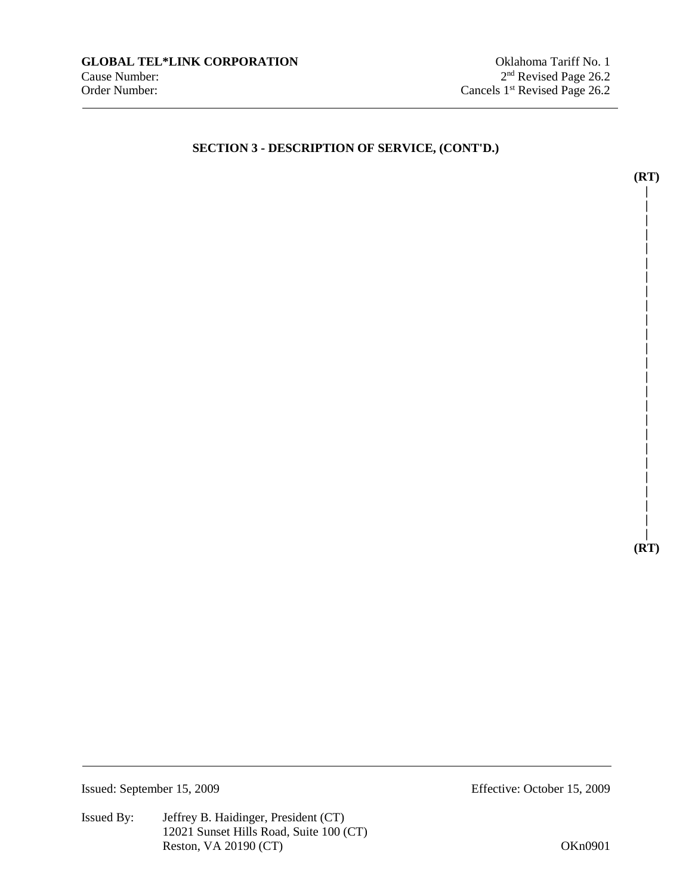**| | | | | | | | | | | | | |** 

**(RT) | | | | | | | | |** 

**(RT)** 

**| |** 

Issued: September 15, 2009 Effective: October 15, 2009

Issued By: Jeffrey B. Haidinger, President (CT) 12021 Sunset Hills Road, Suite 100 (CT) Reston, VA 20190 (CT)  $OKn0901$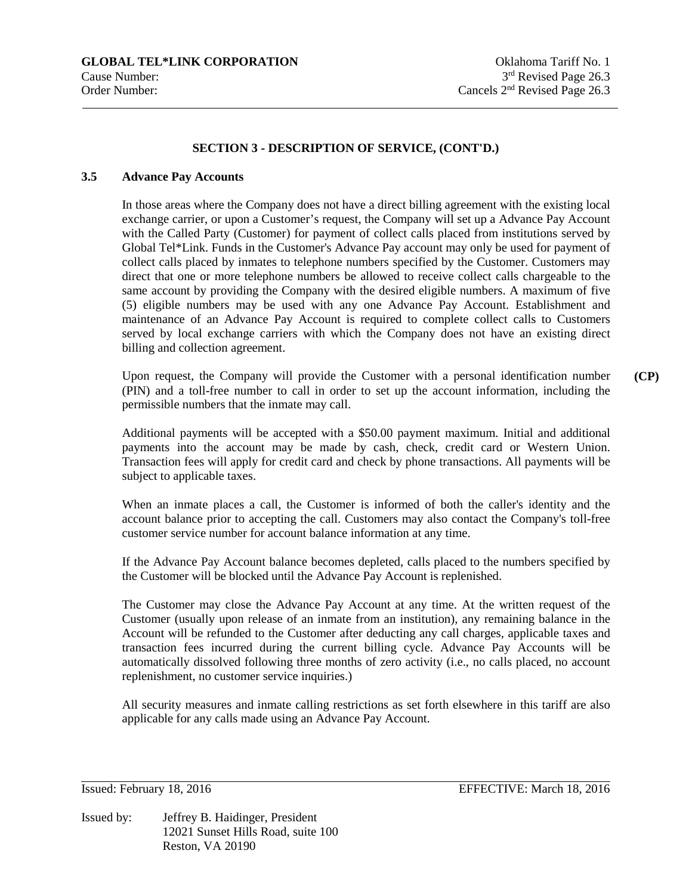#### **3.5 Advance Pay Accounts**

In those areas where the Company does not have a direct billing agreement with the existing local exchange carrier, or upon a Customer's request, the Company will set up a Advance Pay Account with the Called Party (Customer) for payment of collect calls placed from institutions served by Global Tel\*Link. Funds in the Customer's Advance Pay account may only be used for payment of collect calls placed by inmates to telephone numbers specified by the Customer. Customers may direct that one or more telephone numbers be allowed to receive collect calls chargeable to the same account by providing the Company with the desired eligible numbers. A maximum of five (5) eligible numbers may be used with any one Advance Pay Account. Establishment and maintenance of an Advance Pay Account is required to complete collect calls to Customers served by local exchange carriers with which the Company does not have an existing direct billing and collection agreement.

Upon request, the Company will provide the Customer with a personal identification number (PIN) and a toll-free number to call in order to set up the account information, including the permissible numbers that the inmate may call. **(CP)** 

Additional payments will be accepted with a \$50.00 payment maximum. Initial and additional payments into the account may be made by cash, check, credit card or Western Union. Transaction fees will apply for credit card and check by phone transactions. All payments will be subject to applicable taxes.

When an inmate places a call, the Customer is informed of both the caller's identity and the account balance prior to accepting the call. Customers may also contact the Company's toll-free customer service number for account balance information at any time.

If the Advance Pay Account balance becomes depleted, calls placed to the numbers specified by the Customer will be blocked until the Advance Pay Account is replenished.

The Customer may close the Advance Pay Account at any time. At the written request of the Customer (usually upon release of an inmate from an institution), any remaining balance in the Account will be refunded to the Customer after deducting any call charges, applicable taxes and transaction fees incurred during the current billing cycle. Advance Pay Accounts will be automatically dissolved following three months of zero activity (i.e., no calls placed, no account replenishment, no customer service inquiries.)

All security measures and inmate calling restrictions as set forth elsewhere in this tariff are also applicable for any calls made using an Advance Pay Account.

Issued by: Jeffrey B. Haidinger, President 12021 Sunset Hills Road, suite 100 Reston, VA 20190

Issued: February 18, 2016 EFFECTIVE: March 18, 2016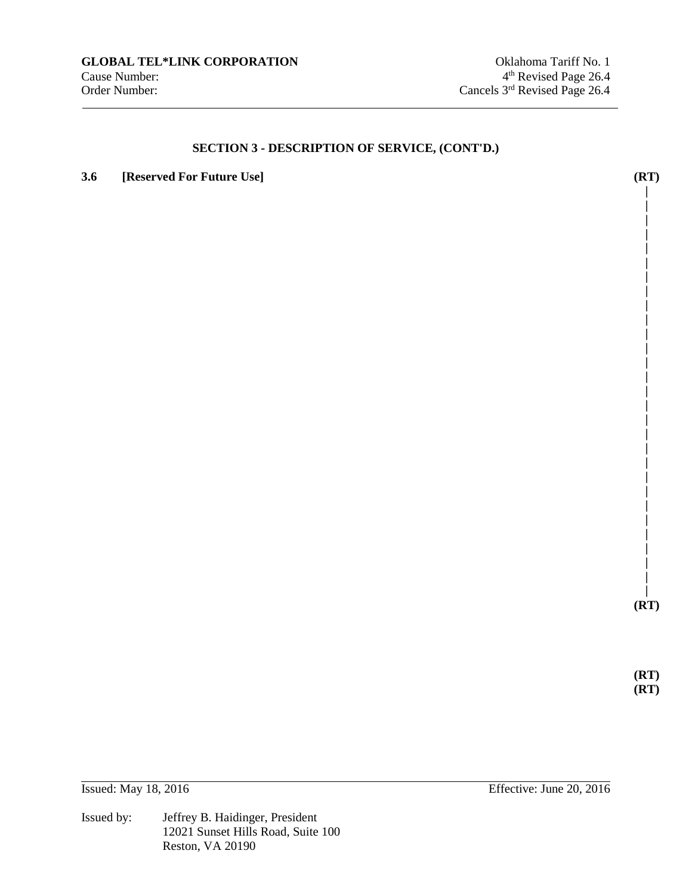## **3.6 [Reserved For Future Use] (RT)**

**|** 

**| | | | | | | | | | | | | | | | | | | | | | | | | | | |** 

**(RT)** 

**(RT) (RT)** 

Issued by: Jeffrey B. Haidinger, President 12021 Sunset Hills Road, Suite 100 Reston, VA 20190

Issued: May 18, 2016 Effective: June 20, 2016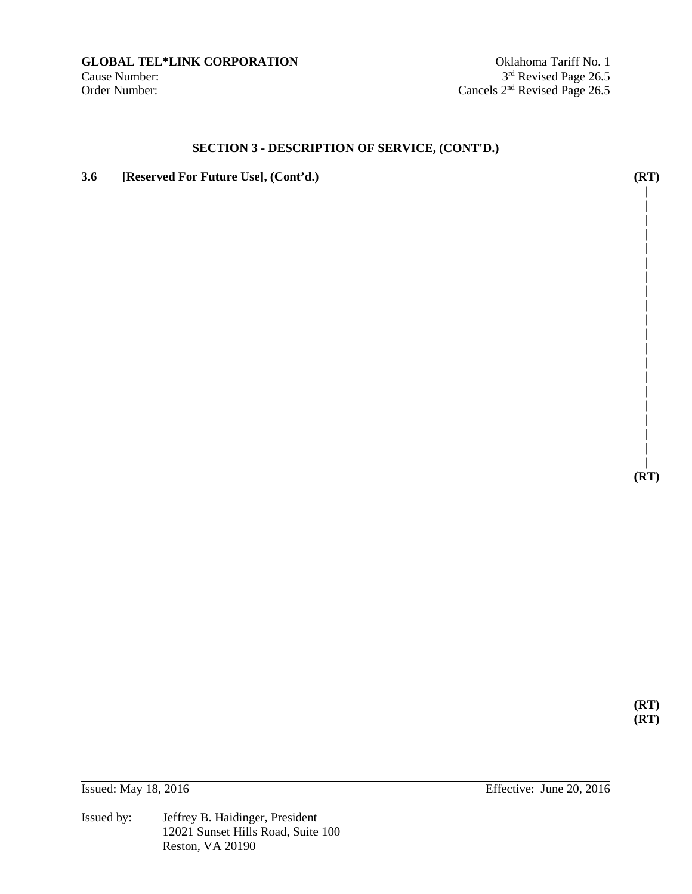**3.6 [Reserved For Future Use], (Cont'd.) (RT)** 

**| (RT)** 

**| | | | | | | | | | | | | | | | | | |** 

**(RT) (RT)**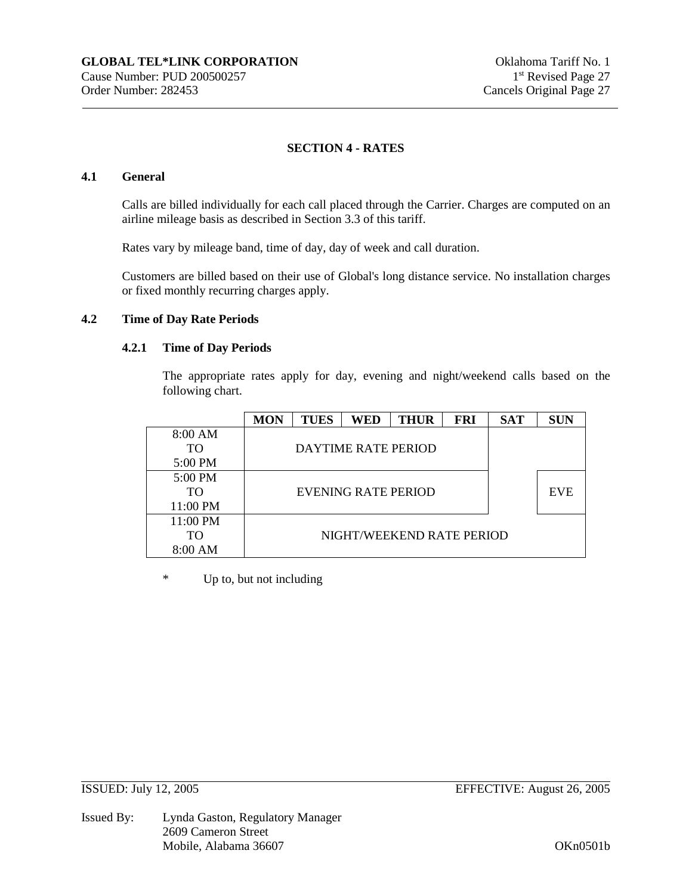## **SECTION 4 - RATES**

## **4.1 General**

Calls are billed individually for each call placed through the Carrier. Charges are computed on an airline mileage basis as described in Section 3.3 of this tariff.

Rates vary by mileage band, time of day, day of week and call duration.

Customers are billed based on their use of Global's long distance service. No installation charges or fixed monthly recurring charges apply.

## **4.2 Time of Day Rate Periods**

#### **4.2.1 Time of Day Periods**

The appropriate rates apply for day, evening and night/weekend calls based on the following chart.

|                   | <b>MON</b>          | <b>TUES</b> | <b>WED</b>          | <b>THUR</b>               | <b>FRI</b> | <b>SAT</b> | <b>SUN</b> |
|-------------------|---------------------|-------------|---------------------|---------------------------|------------|------------|------------|
| 8:00 AM           |                     |             |                     |                           |            |            |            |
| <b>TO</b>         |                     |             | DAYTIME RATE PERIOD |                           |            |            |            |
| 5:00 PM           |                     |             |                     |                           |            |            |            |
| $5:00 \text{ PM}$ |                     |             |                     |                           |            |            |            |
| TО                | EVENING RATE PERIOD |             |                     |                           |            |            | <b>EVE</b> |
| 11:00 PM          |                     |             |                     |                           |            |            |            |
| 11:00 PM          |                     |             |                     |                           |            |            |            |
| TO                |                     |             |                     | NIGHT/WEEKEND RATE PERIOD |            |            |            |
| 8:00 AM           |                     |             |                     |                           |            |            |            |

\* Up to, but not including

Issued By: Lynda Gaston, Regulatory Manager 2609 Cameron Street Mobile, Alabama 36607 OKn0501b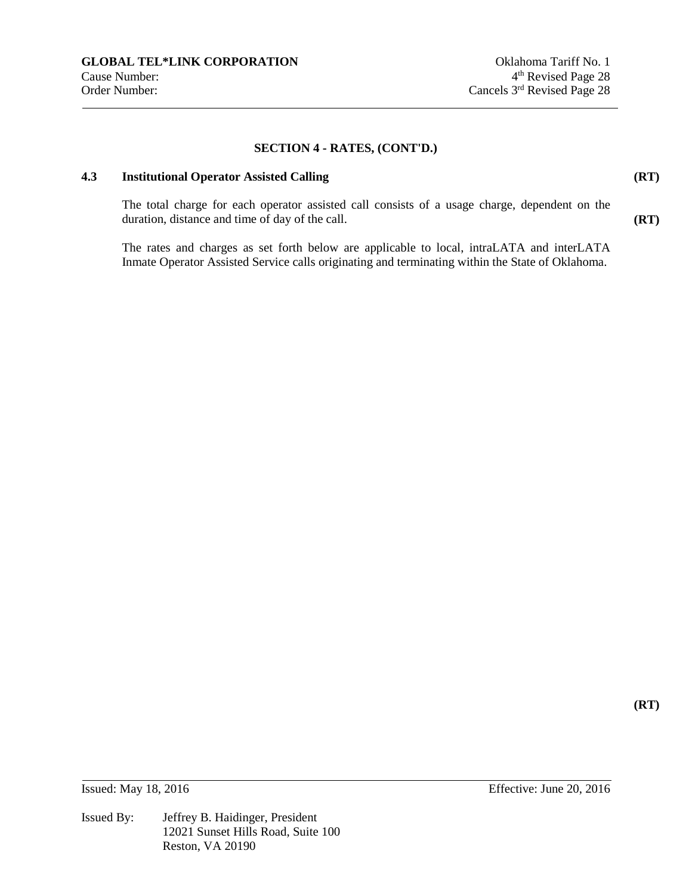## **4.3 Institutional Operator Assisted Calling**

**(RT)** 

**(RT)** 

**(RT)** 

The total charge for each operator assisted call consists of a usage charge, dependent on the duration, distance and time of day of the call.

The rates and charges as set forth below are applicable to local, intraLATA and interLATA Inmate Operator Assisted Service calls originating and terminating within the State of Oklahoma.

**Issued:** May 18, 2016 **Effective:** June 20, 2016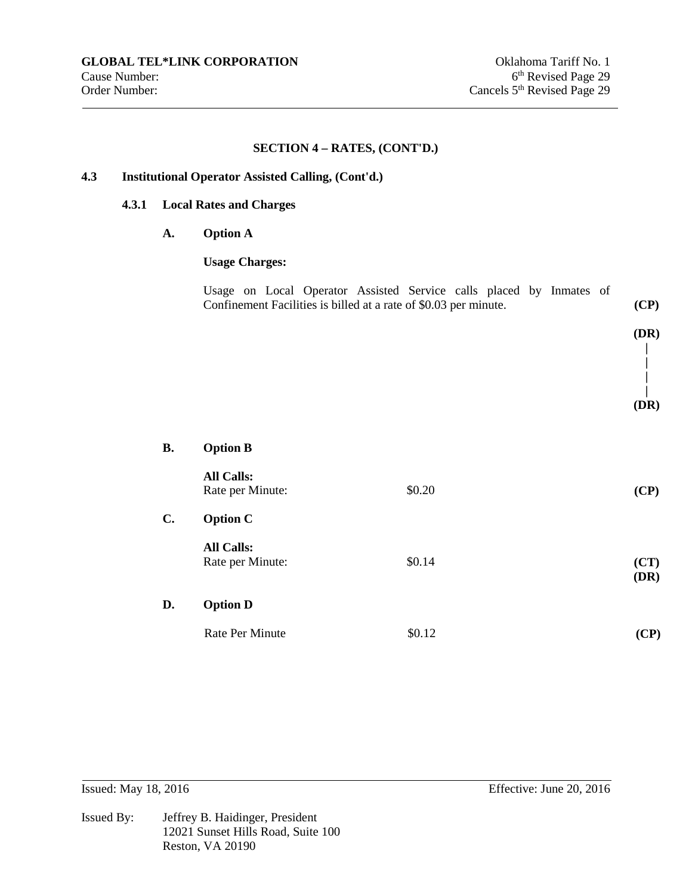## **4.3 Institutional Operator Assisted Calling, (Cont'd.)**

## **4.3.1 Local Rates and Charges**

**A. Option A** 

## **Usage Charges:**

|  | Usage on Local Operator Assisted Service calls placed by Inmates of |  |  |  |      |
|--|---------------------------------------------------------------------|--|--|--|------|
|  | Confinement Facilities is billed at a rate of \$0.03 per minute.    |  |  |  | (CP) |

#### **| | (DR)**

| <b>B.</b>      | <b>Option B</b>                       |        |              |
|----------------|---------------------------------------|--------|--------------|
|                | <b>All Calls:</b><br>Rate per Minute: | \$0.20 | (CP)         |
| $\mathbf{C}$ . | <b>Option C</b>                       |        |              |
|                | <b>All Calls:</b><br>Rate per Minute: | \$0.14 | (CT)<br>(DR) |
| D.             | <b>Option D</b>                       |        |              |
|                | <b>Rate Per Minute</b>                | \$0.12 | (CP)         |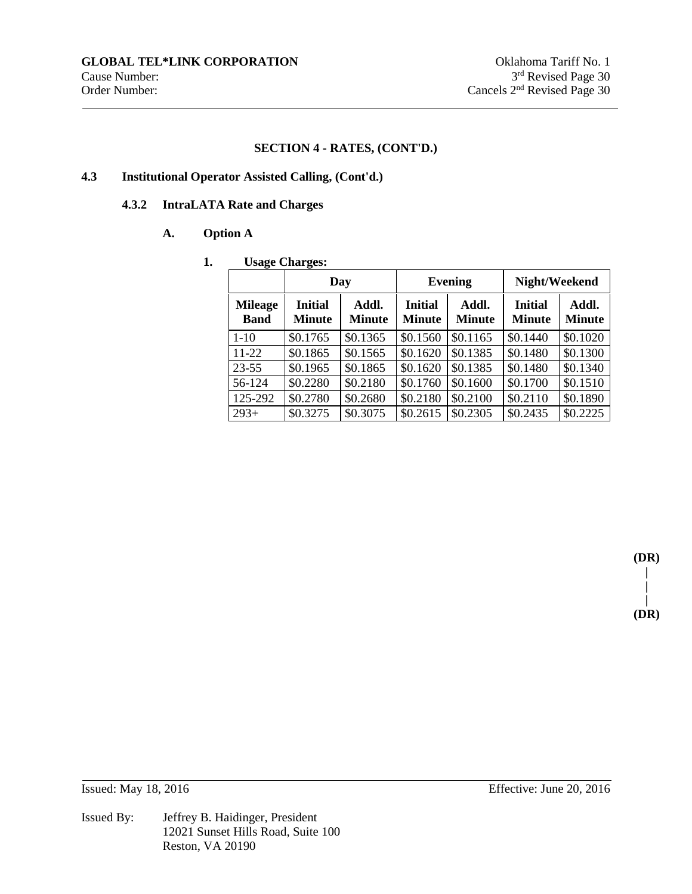## **4.3 Institutional Operator Assisted Calling, (Cont'd.)**

## **4.3.2 IntraLATA Rate and Charges**

## **A. Option A**

## **1. Usage Charges:**

|                               |                                 | Day                    |                                 | <b>Evening</b>         | Night/Weekend                   |                        |  |
|-------------------------------|---------------------------------|------------------------|---------------------------------|------------------------|---------------------------------|------------------------|--|
| <b>Mileage</b><br><b>Band</b> | <b>Initial</b><br><b>Minute</b> | Addl.<br><b>Minute</b> | <b>Initial</b><br><b>Minute</b> | Addl.<br><b>Minute</b> | <b>Initial</b><br><b>Minute</b> | Addl.<br><b>Minute</b> |  |
| $1 - 10$                      | \$0.1765                        | \$0.1365               | \$0.1560                        | \$0.1165               | \$0.1440                        | \$0.1020               |  |
| $11 - 22$                     | \$0.1865                        | \$0.1565               | \$0.1620                        | \$0.1385               | \$0.1480                        | \$0.1300               |  |
| $23 - 55$                     | \$0.1965                        | \$0.1865               | \$0.1620                        | \$0.1385               | \$0.1480                        | \$0.1340               |  |
| 56-124                        | \$0.2280                        | \$0.2180               | \$0.1760                        | \$0.1600               | \$0.1700                        | \$0.1510               |  |
| 125-292                       | \$0.2780                        | \$0.2680               | \$0.2180                        | \$0.2100               | \$0.2110                        | \$0.1890               |  |
| $293+$                        | \$0.3275                        | \$0.3075               | \$0.2615                        | \$0.2305               | \$0.2435                        | \$0.2225               |  |

**(DR) | | | (DR)**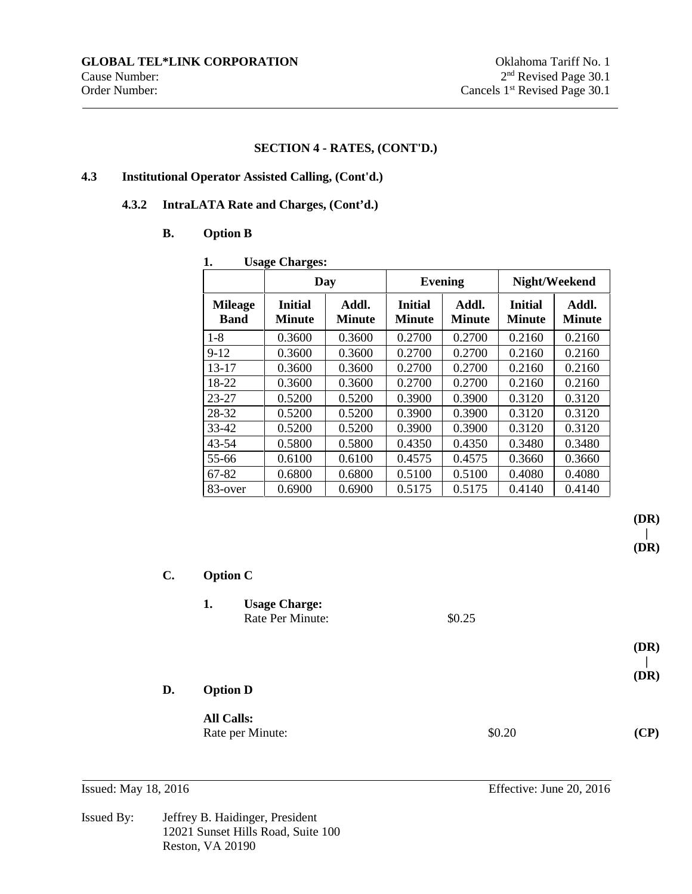## **4.3 Institutional Operator Assisted Calling, (Cont'd.)**

## **4.3.2 IntraLATA Rate and Charges, (Cont'd.)**

## **B. Option B**

| 1.                            | <b>Usage Charges:</b>    |                 |                          |                 |                          |                        |  |  |
|-------------------------------|--------------------------|-----------------|--------------------------|-----------------|--------------------------|------------------------|--|--|
|                               |                          | Day             |                          | <b>Evening</b>  |                          | Night/Weekend          |  |  |
| <b>Mileage</b><br><b>Band</b> | <b>Initial</b><br>Minute | Addl.<br>Minute | <b>Initial</b><br>Minute | Addl.<br>Minute | <b>Initial</b><br>Minute | Addl.<br><b>Minute</b> |  |  |
| $1 - 8$                       | 0.3600                   | 0.3600          | 0.2700                   | 0.2700          | 0.2160                   | 0.2160                 |  |  |
| $9-12$                        | 0.3600                   | 0.3600          | 0.2700                   | 0.2700          | 0.2160                   | 0.2160                 |  |  |
| $13 - 17$                     | 0.3600                   | 0.3600          | 0.2700                   | 0.2700          | 0.2160                   | 0.2160                 |  |  |
| 18-22                         | 0.3600                   | 0.3600          | 0.2700                   | 0.2700          | 0.2160                   | 0.2160                 |  |  |
| $23 - 27$                     | 0.5200                   | 0.5200          | 0.3900                   | 0.3900          | 0.3120                   | 0.3120                 |  |  |
| 28-32                         | 0.5200                   | 0.5200          | 0.3900                   | 0.3900          | 0.3120                   | 0.3120                 |  |  |
| $33 - 42$                     | 0.5200                   | 0.5200          | 0.3900                   | 0.3900          | 0.3120                   | 0.3120                 |  |  |
| $43 - 54$                     | 0.5800                   | 0.5800          | 0.4350                   | 0.4350          | 0.3480                   | 0.3480                 |  |  |
| 55-66                         | 0.6100                   | 0.6100          | 0.4575                   | 0.4575          | 0.3660                   | 0.3660                 |  |  |
| 67-82                         | 0.6800                   | 0.6800          | 0.5100                   | 0.5100          | 0.4080                   | 0.4080                 |  |  |
| 83-over                       | 0.6900                   | 0.6900          | 0.5175                   | 0.5175          | 0.4140                   | 0.4140                 |  |  |

**(DR) |** 

**(DR)** 

| $\mathbf{C}$ . |    | <b>Option C</b>                          |        |              |  |  |  |
|----------------|----|------------------------------------------|--------|--------------|--|--|--|
|                | 1. | <b>Usage Charge:</b><br>Rate Per Minute: | \$0.25 |              |  |  |  |
|                |    |                                          |        | (DR)<br>(DR) |  |  |  |
| D.             |    | <b>Option D</b>                          |        |              |  |  |  |
|                |    | <b>All Calls:</b><br>Rate per Minute:    | \$0.20 | (CP)         |  |  |  |

Issued By: Jeffrey B. Haidinger, President 12021 Sunset Hills Road, Suite 100 Reston, VA 20190

**Issued:** May 18, 2016 **Effective:** June 20, 2016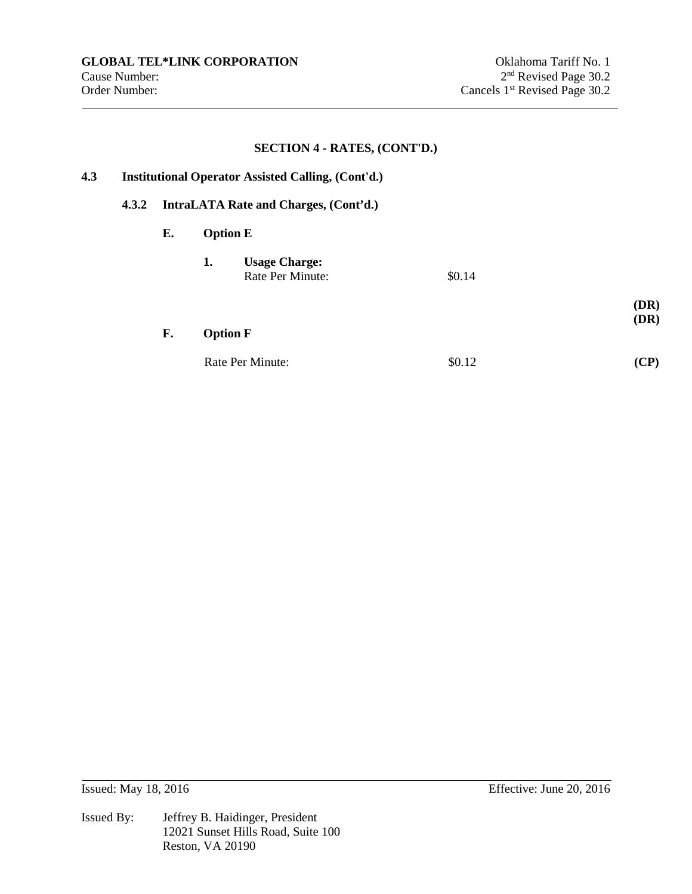**(DR)** 

## **SECTION 4 - RATES, (CONT'D.)**

# **4.3 Institutional Operator Assisted Calling, (Cont'd.)**

## **4.3.2 IntraLATA Rate and Charges, (Cont'd.)**

#### **E. Option E**

| 1. | <b>Usage Charge:</b> |        |
|----|----------------------|--------|
|    | Rate Per Minute:     | \$0.14 |

# **F. Option F (DR)**

| Rate Per Minute: | \$0.12 | (CP) |
|------------------|--------|------|
|------------------|--------|------|

**Issued:** May 18, 2016 **Effective:** June 20, 2016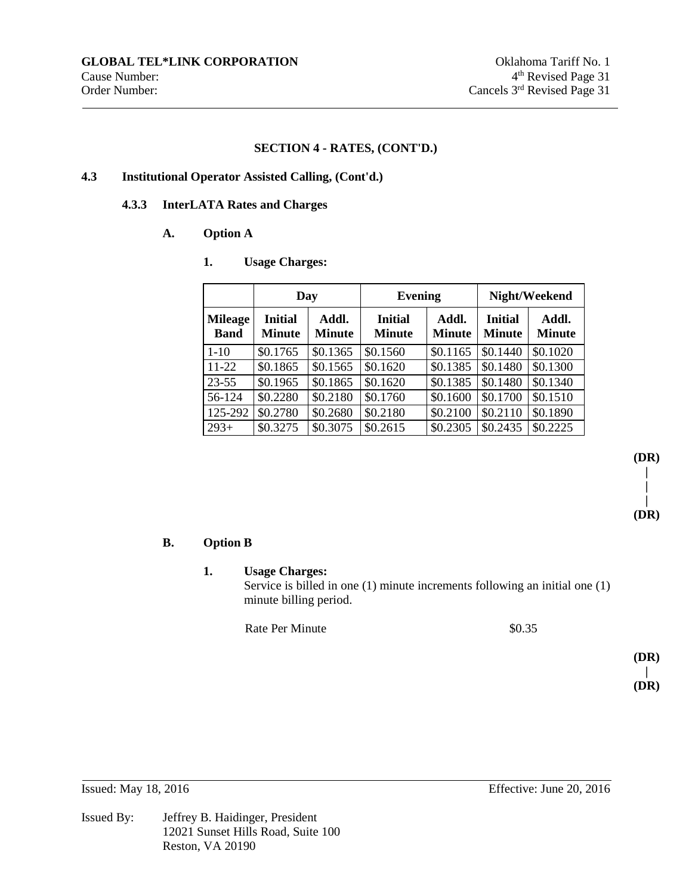## **4.3 Institutional Operator Assisted Calling, (Cont'd.)**

## **4.3.3 InterLATA Rates and Charges**

## **A. Option A**

**1. Usage Charges:**

|                               | Day                             |                        | <b>Evening</b>                  |                        | Night/Weekend                   |                        |
|-------------------------------|---------------------------------|------------------------|---------------------------------|------------------------|---------------------------------|------------------------|
| <b>Mileage</b><br><b>Band</b> | <b>Initial</b><br><b>Minute</b> | Addl.<br><b>Minute</b> | <b>Initial</b><br><b>Minute</b> | Addl.<br><b>Minute</b> | <b>Initial</b><br><b>Minute</b> | Addl.<br><b>Minute</b> |
| $1 - 10$                      | \$0.1765                        | \$0.1365               | \$0.1560                        | \$0.1165               | \$0.1440                        | \$0.1020               |
| $11 - 22$                     | \$0.1865                        | \$0.1565               | \$0.1620                        | \$0.1385               | \$0.1480                        | \$0.1300               |
| $23 - 55$                     | \$0.1965                        | \$0.1865               | \$0.1620                        | \$0.1385               | \$0.1480                        | \$0.1340               |
| 56-124                        | \$0.2280                        | \$0.2180               | \$0.1760                        | \$0.1600               | \$0.1700                        | \$0.1510               |
| 125-292                       | \$0.2780                        | \$0.2680               | \$0.2180                        | \$0.2100               | \$0.2110                        | \$0.1890               |
| $293+$                        | \$0.3275                        | \$0.3075               | \$0.2615                        | \$0.2305               | \$0.2435                        | \$0.2225               |

**B. Option B** 

## **1. Usage Charges:**

Service is billed in one (1) minute increments following an initial one (1) minute billing period.

Rate Per Minute  $\$0.35$ 

**(DR) | (DR)** 

**(DR) | | | (DR)**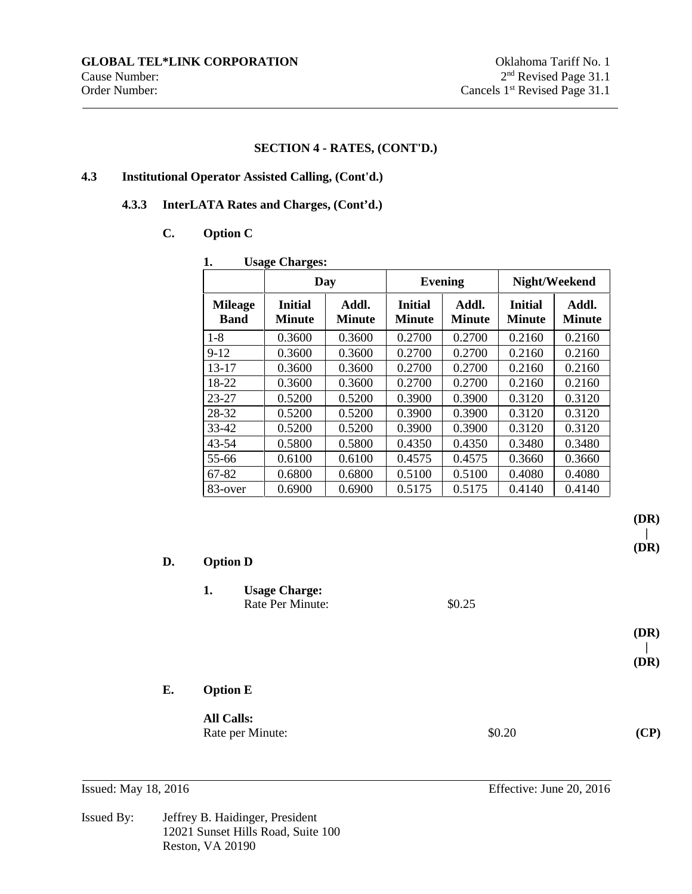## **4.3 Institutional Operator Assisted Calling, (Cont'd.)**

## **4.3.3 InterLATA Rates and Charges, (Cont'd.)**

## **C. Option C**

| 1.                            | <b>Usage Charges:</b>           |                        |                          |                        |                          |                        |  |  |
|-------------------------------|---------------------------------|------------------------|--------------------------|------------------------|--------------------------|------------------------|--|--|
|                               |                                 | Day                    |                          | <b>Evening</b>         |                          | Night/Weekend          |  |  |
| <b>Mileage</b><br><b>Band</b> | <b>Initial</b><br><b>Minute</b> | Addl.<br><b>Minute</b> | <b>Initial</b><br>Minute | Addl.<br><b>Minute</b> | <b>Initial</b><br>Minute | Addl.<br><b>Minute</b> |  |  |
| $1 - 8$                       | 0.3600                          | 0.3600                 | 0.2700                   | 0.2700                 | 0.2160                   | 0.2160                 |  |  |
| $9-12$                        | 0.3600                          | 0.3600                 | 0.2700                   | 0.2700                 | 0.2160                   | 0.2160                 |  |  |
| $13 - 17$                     | 0.3600                          | 0.3600                 | 0.2700                   | 0.2700                 | 0.2160                   | 0.2160                 |  |  |
| 18-22                         | 0.3600                          | 0.3600                 | 0.2700                   | 0.2700                 | 0.2160                   | 0.2160                 |  |  |
| $23 - 27$                     | 0.5200                          | 0.5200                 | 0.3900                   | 0.3900                 | 0.3120                   | 0.3120                 |  |  |
| 28-32                         | 0.5200                          | 0.5200                 | 0.3900                   | 0.3900                 | 0.3120                   | 0.3120                 |  |  |
| $33 - 42$                     | 0.5200                          | 0.5200                 | 0.3900                   | 0.3900                 | 0.3120                   | 0.3120                 |  |  |
| $43 - 54$                     | 0.5800                          | 0.5800                 | 0.4350                   | 0.4350                 | 0.3480                   | 0.3480                 |  |  |
| 55-66                         | 0.6100                          | 0.6100                 | 0.4575                   | 0.4575                 | 0.3660                   | 0.3660                 |  |  |
| 67-82                         | 0.6800                          | 0.6800                 | 0.5100                   | 0.5100                 | 0.4080                   | 0.4080                 |  |  |
| 83-over                       | 0.6900                          | 0.6900                 | 0.5175                   | 0.5175                 | 0.4140                   | 0.4140                 |  |  |

| D. | <b>Option D</b>   |                                          |        |              |  |  |
|----|-------------------|------------------------------------------|--------|--------------|--|--|
|    | 1.                | <b>Usage Charge:</b><br>Rate Per Minute: | \$0.25 |              |  |  |
|    |                   |                                          |        | (DR)<br>(DR) |  |  |
| Е. | <b>Option E</b>   |                                          |        |              |  |  |
|    | <b>All Calls:</b> | Rate per Minute:                         | \$0.20 | (CP)         |  |  |

Issued By: Jeffrey B. Haidinger, President 12021 Sunset Hills Road, Suite 100 Reston, VA 20190

**Issued:** May 18, 2016 **Effective:** June 20, 2016

**(DR) | (DR)**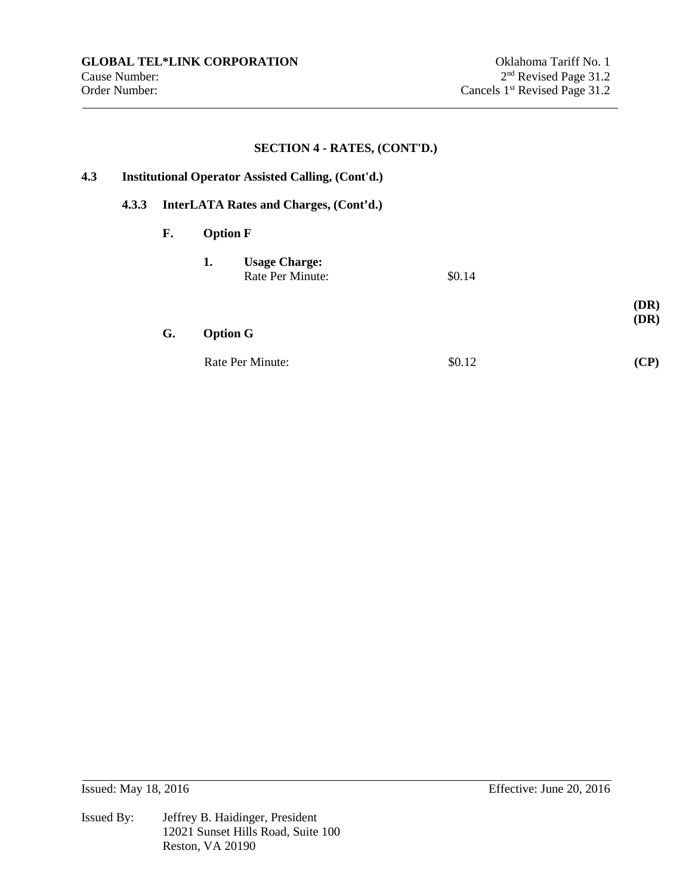**(DR)** 

## **SECTION 4 - RATES, (CONT'D.)**

# **4.3 Institutional Operator Assisted Calling, (Cont'd.)**

## **4.3.3 InterLATA Rates and Charges, (Cont'd.)**

#### **F. Option F**

| 1. | <b>Usage Charge:</b> |        |
|----|----------------------|--------|
|    | Rate Per Minute:     | \$0.14 |
|    |                      |        |

# **G. Option G (DR)**

| Rate Per Minute: | \$0.12 | (CP) |
|------------------|--------|------|
|------------------|--------|------|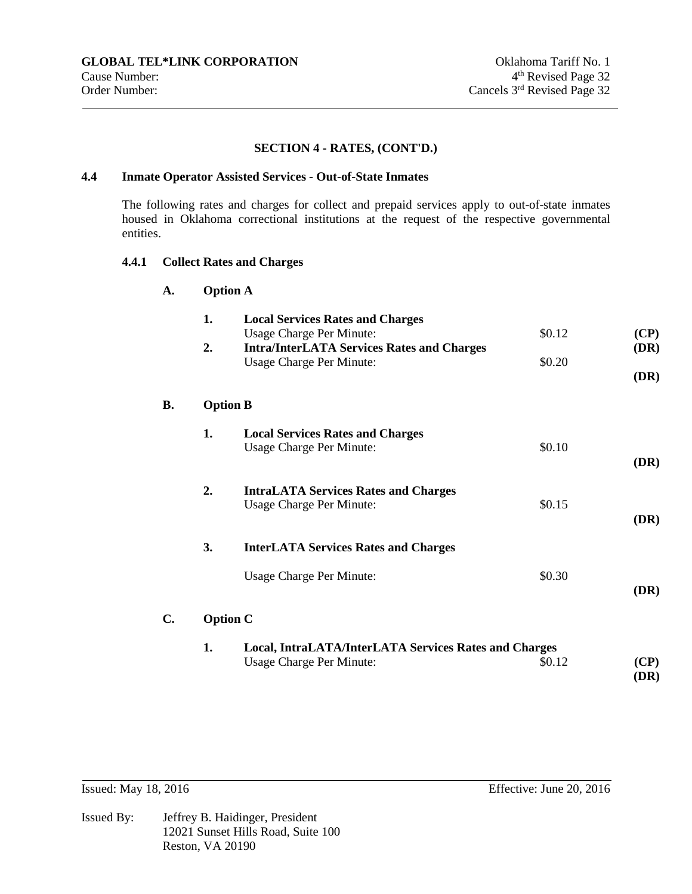## **4.4 Inmate Operator Assisted Services - Out-of-State Inmates**

The following rates and charges for collect and prepaid services apply to out-of-state inmates housed in Oklahoma correctional institutions at the request of the respective governmental entities.

## **4.4.1 Collect Rates and Charges**

| A.        |    | <b>Option A</b>                                              |        |             |
|-----------|----|--------------------------------------------------------------|--------|-------------|
|           | 1. | <b>Local Services Rates and Charges</b>                      |        |             |
|           |    | Usage Charge Per Minute:                                     | \$0.12 | (CP)        |
|           | 2. | <b>Intra/InterLATA Services Rates and Charges</b>            |        | (DR)        |
|           |    | <b>Usage Charge Per Minute:</b>                              | \$0.20 |             |
|           |    |                                                              |        | <b>(DR)</b> |
| <b>B.</b> |    | <b>Option B</b>                                              |        |             |
|           | 1. | <b>Local Services Rates and Charges</b>                      |        |             |
|           |    | <b>Usage Charge Per Minute:</b>                              | \$0.10 |             |
|           |    |                                                              |        | (DR)        |
|           | 2. | <b>IntraLATA Services Rates and Charges</b>                  |        |             |
|           |    | Usage Charge Per Minute:                                     | \$0.15 |             |
|           |    |                                                              |        | (DR)        |
|           | 3. | <b>InterLATA Services Rates and Charges</b>                  |        |             |
|           |    |                                                              |        |             |
|           |    | <b>Usage Charge Per Minute:</b>                              | \$0.30 | (DR)        |
|           |    |                                                              |        |             |
| C.        |    | <b>Option C</b>                                              |        |             |
|           | 1. | <b>Local, IntraLATA/InterLATA Services Rates and Charges</b> |        |             |
|           |    | <b>Usage Charge Per Minute:</b>                              | \$0.12 | (CP)        |
|           |    |                                                              |        | (DR)        |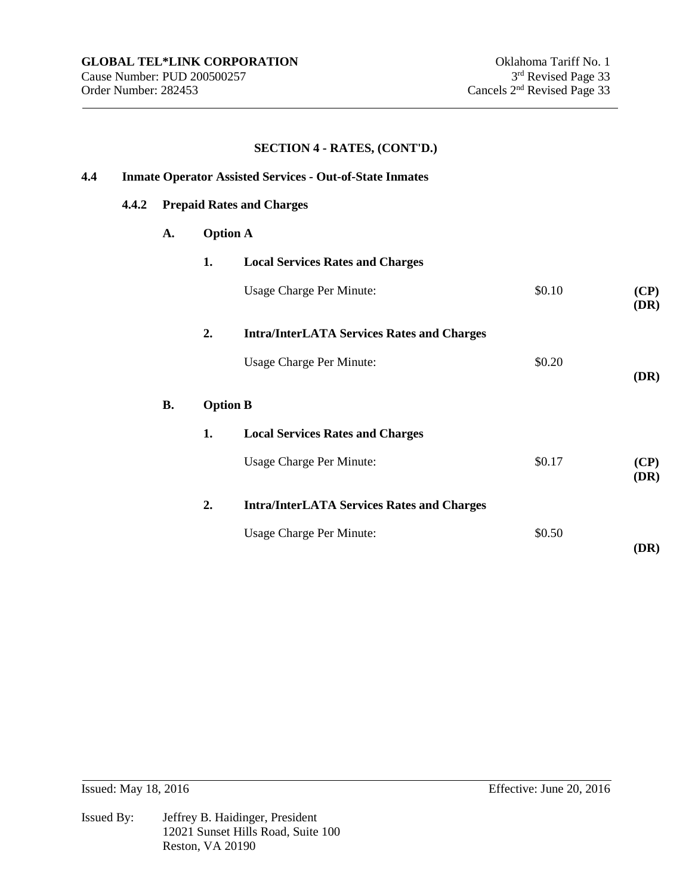| 4.4 | <b>Inmate Operator Assisted Services - Out-of-State Inmates</b> |           |                                  |                                                   |        |                     |  |  |
|-----|-----------------------------------------------------------------|-----------|----------------------------------|---------------------------------------------------|--------|---------------------|--|--|
|     | 4.4.2                                                           |           | <b>Prepaid Rates and Charges</b> |                                                   |        |                     |  |  |
|     |                                                                 | A.        | <b>Option A</b>                  |                                                   |        |                     |  |  |
|     |                                                                 |           | 1.                               | <b>Local Services Rates and Charges</b>           |        |                     |  |  |
|     |                                                                 |           |                                  | <b>Usage Charge Per Minute:</b>                   | \$0.10 | (CP)<br>(DR)        |  |  |
|     |                                                                 |           | 2.                               | <b>Intra/InterLATA Services Rates and Charges</b> |        |                     |  |  |
|     |                                                                 |           |                                  | <b>Usage Charge Per Minute:</b>                   | \$0.20 | (DR)                |  |  |
|     |                                                                 | <b>B.</b> | <b>Option B</b>                  |                                                   |        |                     |  |  |
|     |                                                                 |           | 1.                               | <b>Local Services Rates and Charges</b>           |        |                     |  |  |
|     |                                                                 |           |                                  | <b>Usage Charge Per Minute:</b>                   | \$0.17 | (CP)<br><b>(DR)</b> |  |  |
|     |                                                                 |           | 2.                               | <b>Intra/InterLATA Services Rates and Charges</b> |        |                     |  |  |
|     |                                                                 |           |                                  | <b>Usage Charge Per Minute:</b>                   | \$0.50 | (DR)                |  |  |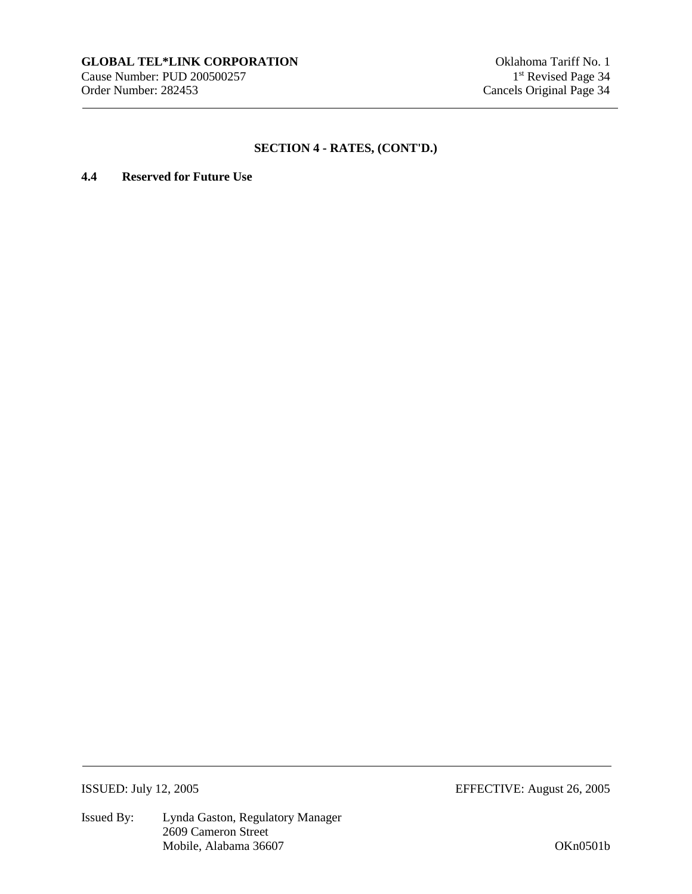## **4.4 Reserved for Future Use**

Issued By: Lynda Gaston, Regulatory Manager 2609 Cameron Street Mobile, Alabama 36607 OKn0501b

ISSUED: July 12, 2005 EFFECTIVE: August 26, 2005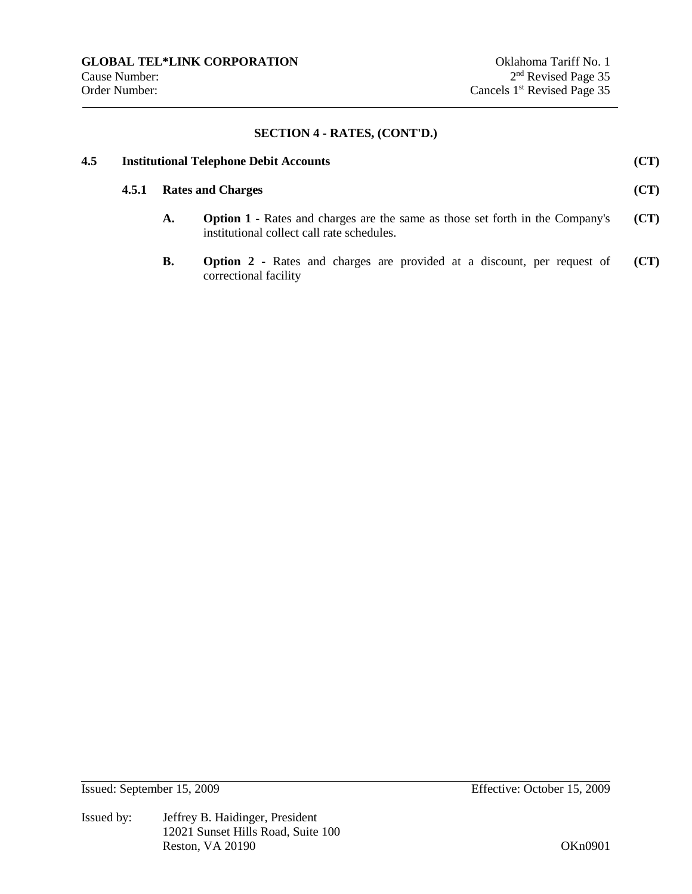| 4.5 | <b>Institutional Telephone Debit Accounts</b> |                          |                                                                                                                                    |      |  |
|-----|-----------------------------------------------|--------------------------|------------------------------------------------------------------------------------------------------------------------------------|------|--|
|     | 4.5.1                                         | <b>Rates and Charges</b> |                                                                                                                                    | (CT) |  |
|     |                                               | A.                       | <b>Option 1 - Rates and charges are the same as those set forth in the Company's</b><br>institutional collect call rate schedules. | (CT) |  |
|     |                                               | В.                       | <b>Option 2</b> - Rates and charges are provided at a discount, per request of<br>correctional facility                            | (CT) |  |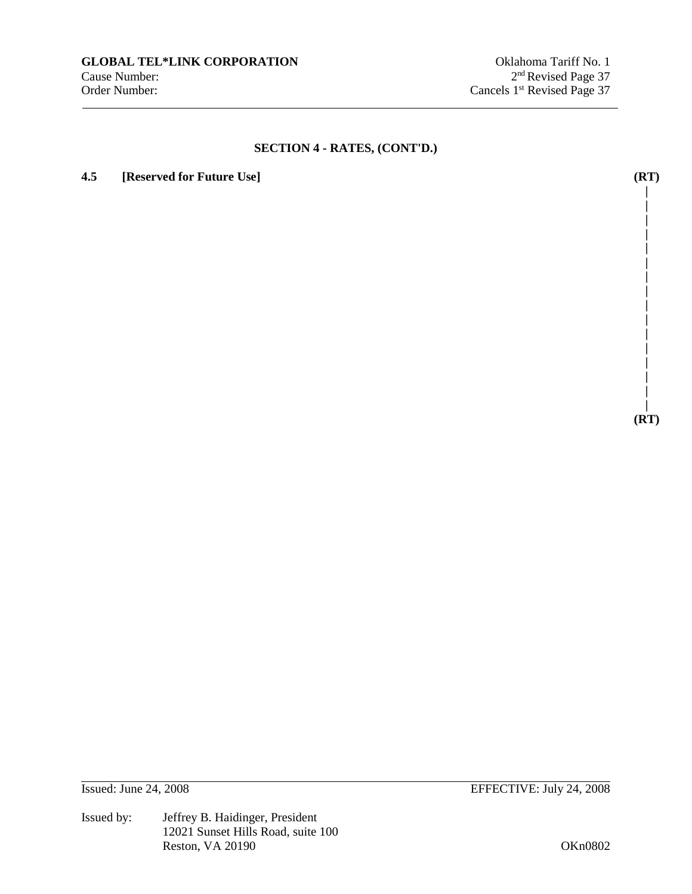## **4.5 [Reserved for Future Use] (RT)**

**| (RT)** 

**| | | | | | | | | | | | | | |** 

Issued by: Jeffrey B. Haidinger, President 12021 Sunset Hills Road, suite 100 Reston, VA 20190 OKn0802

Issued: June 24, 2008 EFFECTIVE: July 24, 2008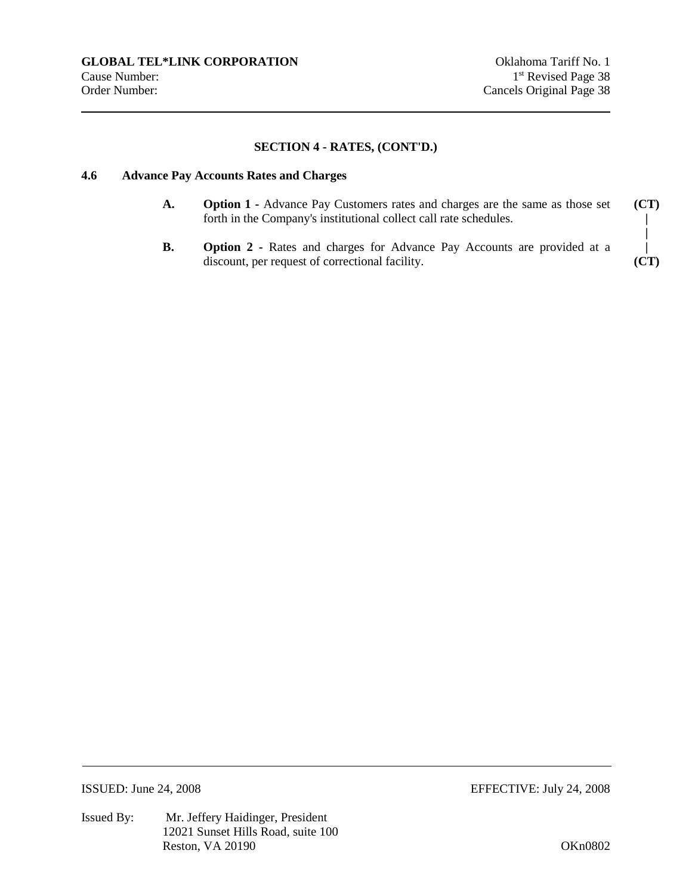#### **4.6 Advance Pay Accounts Rates and Charges**

- **A. Option 1** Advance Pay Customers rates and charges are the same as those set forth in the Company's institutional collect call rate schedules.
- **B. Option 2** Rates and charges for Advance Pay Accounts are provided at a discount, per request of correctional facility.



Issued By: Mr. Jeffery Haidinger, President 12021 Sunset Hills Road, suite 100 Reston, VA 20190 OKn0802

ISSUED: June 24, 2008 EFFECTIVE: July 24, 2008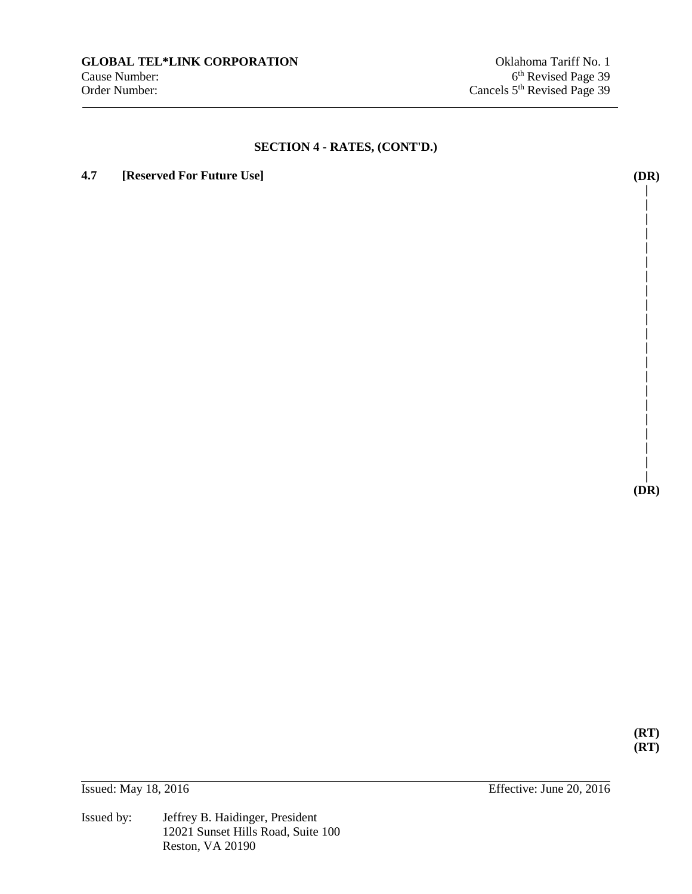## **4.7 [Reserved For Future Use] (DR)**

**| |** 

> **| | | | | | | | | | | | | | | | | |**

**| (DR)** 

**(RT) (RT)** 

Issued by: Jeffrey B. Haidinger, President 12021 Sunset Hills Road, Suite 100 Reston, VA 20190

Issued: May 18, 2016 Effective: June 20, 2016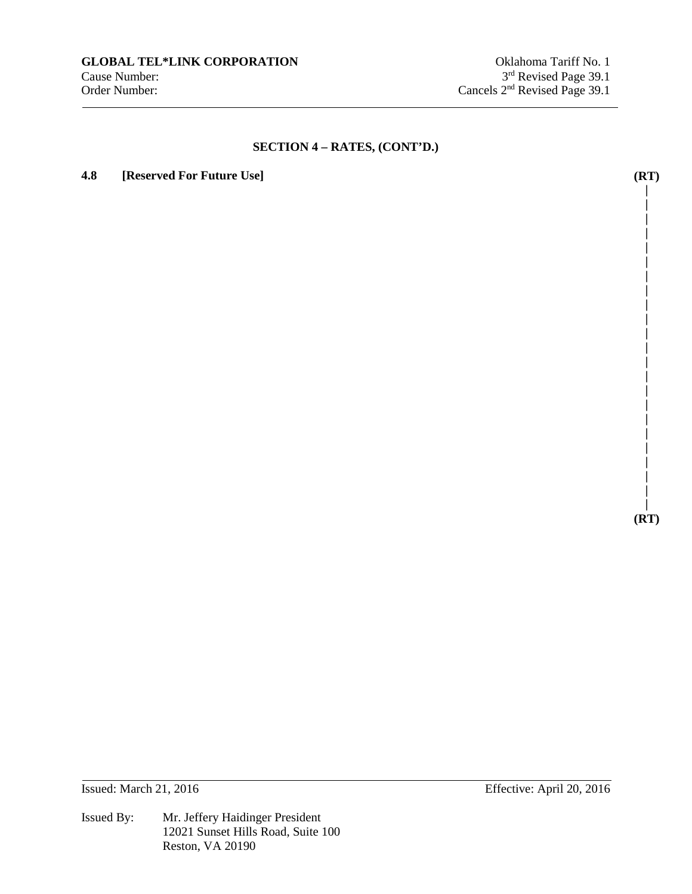## **4.8 [Reserved For Future Use] (RT)**

**| (RT)** 

**| | | | | | | | | | | | | | | | | | | | | |** 

Issued: March 21, 2016 Effective: April 20, 2016